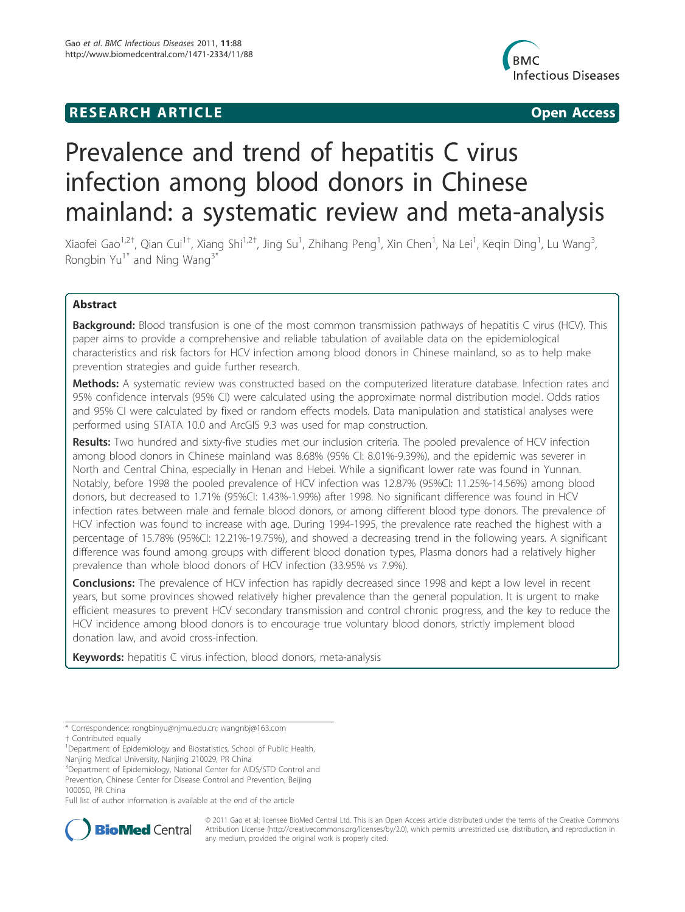# **RESEARCH ARTICLE Example 2018 12:00 Department of the Contract Open Access**



# Prevalence and trend of hepatitis C virus infection among blood donors in Chinese mainland: a systematic review and meta-analysis

Xiaofei Gao<sup>1,2†</sup>, Qian Cui<sup>1†</sup>, Xiang Shi<sup>1,2†</sup>, Jing Su<sup>1</sup>, Zhihang Peng<sup>1</sup>, Xin Chen<sup>1</sup>, Na Lei<sup>1</sup>, Keqin Ding<sup>1</sup>, Lu Wang<sup>3</sup> , Rongbin Yu<sup>1\*</sup> and Ning Wang<sup>3\*</sup>

# Abstract

**Background:** Blood transfusion is one of the most common transmission pathways of hepatitis C virus (HCV). This paper aims to provide a comprehensive and reliable tabulation of available data on the epidemiological characteristics and risk factors for HCV infection among blood donors in Chinese mainland, so as to help make prevention strategies and guide further research.

Methods: A systematic review was constructed based on the computerized literature database. Infection rates and 95% confidence intervals (95% CI) were calculated using the approximate normal distribution model. Odds ratios and 95% CI were calculated by fixed or random effects models. Data manipulation and statistical analyses were performed using STATA 10.0 and ArcGIS 9.3 was used for map construction.

Results: Two hundred and sixty-five studies met our inclusion criteria. The pooled prevalence of HCV infection among blood donors in Chinese mainland was 8.68% (95% CI: 8.01%-9.39%), and the epidemic was severer in North and Central China, especially in Henan and Hebei. While a significant lower rate was found in Yunnan. Notably, before 1998 the pooled prevalence of HCV infection was 12.87% (95%CI: 11.25%-14.56%) among blood donors, but decreased to 1.71% (95%CI: 1.43%-1.99%) after 1998. No significant difference was found in HCV infection rates between male and female blood donors, or among different blood type donors. The prevalence of HCV infection was found to increase with age. During 1994-1995, the prevalence rate reached the highest with a percentage of 15.78% (95%CI: 12.21%-19.75%), and showed a decreasing trend in the following years. A significant difference was found among groups with different blood donation types, Plasma donors had a relatively higher prevalence than whole blood donors of HCV infection (33.95% vs 7.9%).

Conclusions: The prevalence of HCV infection has rapidly decreased since 1998 and kept a low level in recent years, but some provinces showed relatively higher prevalence than the general population. It is urgent to make efficient measures to prevent HCV secondary transmission and control chronic progress, and the key to reduce the HCV incidence among blood donors is to encourage true voluntary blood donors, strictly implement blood donation law, and avoid cross-infection.

Keywords: hepatitis C virus infection, blood donors, meta-analysis

<sup>3</sup>Department of Epidemiology, National Center for AIDS/STD Control and Prevention, Chinese Center for Disease Control and Prevention, Beijing

Full list of author information is available at the end of the article



© 2011 Gao et al; licensee BioMed Central Ltd. This is an Open Access article distributed under the terms of the Creative Commons Attribution License (http://creativecommons.org/licenses/by/2.0), which permits unrestricted use, distribution, and reproduction in any medium, provided the original work is properly cited.

<sup>\*</sup> Correspondence: rongbinyu@njmu.edu.cn; wangnbj@163.com

<sup>†</sup> Contributed equally <sup>1</sup>

<sup>&</sup>lt;sup>1</sup>Department of Epidemiology and Biostatistics, School of Public Health,

Nanjing Medical University, Nanjing 210029, PR China

<sup>100050,</sup> PR China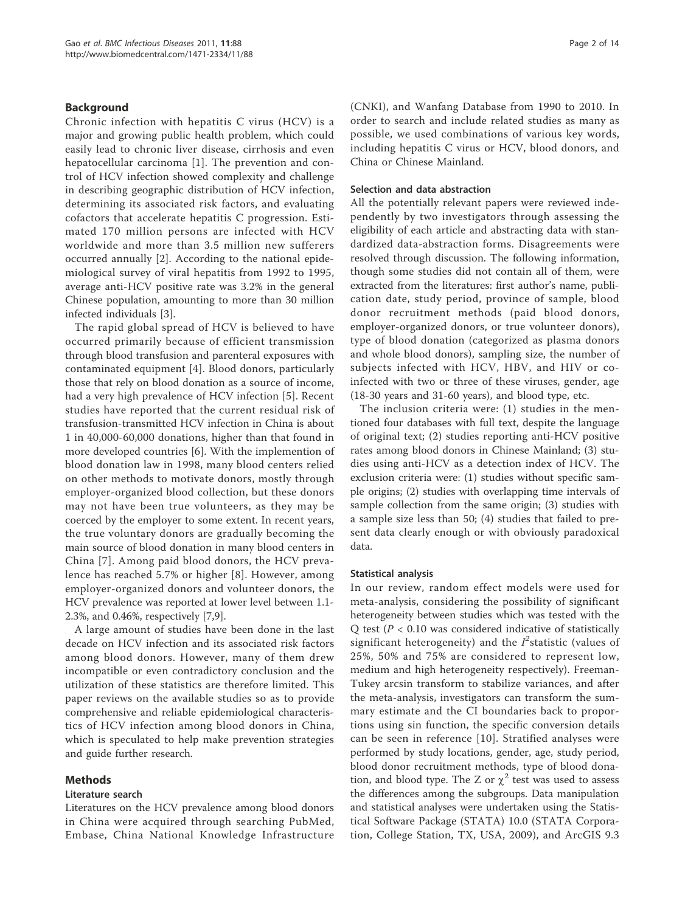## Background

Chronic infection with hepatitis C virus (HCV) is a major and growing public health problem, which could easily lead to chronic liver disease, cirrhosis and even hepatocellular carcinoma [1]. The prevention and control of HCV infection showed complexity and challenge in describing geographic distribution of HCV infection, determining its associated risk factors, and evaluating cofactors that accelerate hepatitis C progression. Estimated 170 million persons are infected with HCV worldwide and more than 3.5 million new sufferers occurred annually [2]. According to the national epidemiological survey of viral hepatitis from 1992 to 1995, average anti-HCV positive rate was 3.2% in the general Chinese population, amounting to more than 30 million infected individuals [3].

The rapid global spread of HCV is believed to have occurred primarily because of efficient transmission through blood transfusion and parenteral exposures with contaminated equipment [4]. Blood donors, particularly those that rely on blood donation as a source of income, had a very high prevalence of HCV infection [5]. Recent studies have reported that the current residual risk of transfusion-transmitted HCV infection in China is about 1 in 40,000-60,000 donations, higher than that found in more developed countries [6]. With the implemention of blood donation law in 1998, many blood centers relied on other methods to motivate donors, mostly through employer-organized blood collection, but these donors may not have been true volunteers, as they may be coerced by the employer to some extent. In recent years, the true voluntary donors are gradually becoming the main source of blood donation in many blood centers in China [7]. Among paid blood donors, the HCV prevalence has reached 5.7% or higher [8]. However, among employer-organized donors and volunteer donors, the HCV prevalence was reported at lower level between 1.1- 2.3%, and 0.46%, respectively [7,9].

A large amount of studies have been done in the last decade on HCV infection and its associated risk factors among blood donors. However, many of them drew incompatible or even contradictory conclusion and the utilization of these statistics are therefore limited. This paper reviews on the available studies so as to provide comprehensive and reliable epidemiological characteristics of HCV infection among blood donors in China, which is speculated to help make prevention strategies and guide further research.

#### **Methods**

#### Literature search

Literatures on the HCV prevalence among blood donors in China were acquired through searching PubMed, Embase, China National Knowledge Infrastructure (CNKI), and Wanfang Database from 1990 to 2010. In order to search and include related studies as many as possible, we used combinations of various key words, including hepatitis C virus or HCV, blood donors, and China or Chinese Mainland.

# Selection and data abstraction

All the potentially relevant papers were reviewed independently by two investigators through assessing the eligibility of each article and abstracting data with standardized data-abstraction forms. Disagreements were resolved through discussion. The following information, though some studies did not contain all of them, were extracted from the literatures: first author's name, publication date, study period, province of sample, blood donor recruitment methods (paid blood donors, employer-organized donors, or true volunteer donors), type of blood donation (categorized as plasma donors and whole blood donors), sampling size, the number of subjects infected with HCV, HBV, and HIV or coinfected with two or three of these viruses, gender, age (18-30 years and 31-60 years), and blood type, etc.

The inclusion criteria were: (1) studies in the mentioned four databases with full text, despite the language of original text; (2) studies reporting anti-HCV positive rates among blood donors in Chinese Mainland; (3) studies using anti-HCV as a detection index of HCV. The exclusion criteria were: (1) studies without specific sample origins; (2) studies with overlapping time intervals of sample collection from the same origin; (3) studies with a sample size less than 50; (4) studies that failed to present data clearly enough or with obviously paradoxical data.

#### Statistical analysis

In our review, random effect models were used for meta-analysis, considering the possibility of significant heterogeneity between studies which was tested with the Q test ( $P < 0.10$  was considered indicative of statistically significant heterogeneity) and the  $I^2$ statistic (values of 25%, 50% and 75% are considered to represent low, medium and high heterogeneity respectively). Freeman-Tukey arcsin transform to stabilize variances, and after the meta-analysis, investigators can transform the summary estimate and the CI boundaries back to proportions using sin function, the specific conversion details can be seen in reference [10]. Stratified analyses were performed by study locations, gender, age, study period, blood donor recruitment methods, type of blood donation, and blood type. The Z or  $\chi^2$  test was used to assess the differences among the subgroups. Data manipulation and statistical analyses were undertaken using the Statistical Software Package (STATA) 10.0 (STATA Corporation, College Station, TX, USA, 2009), and ArcGIS 9.3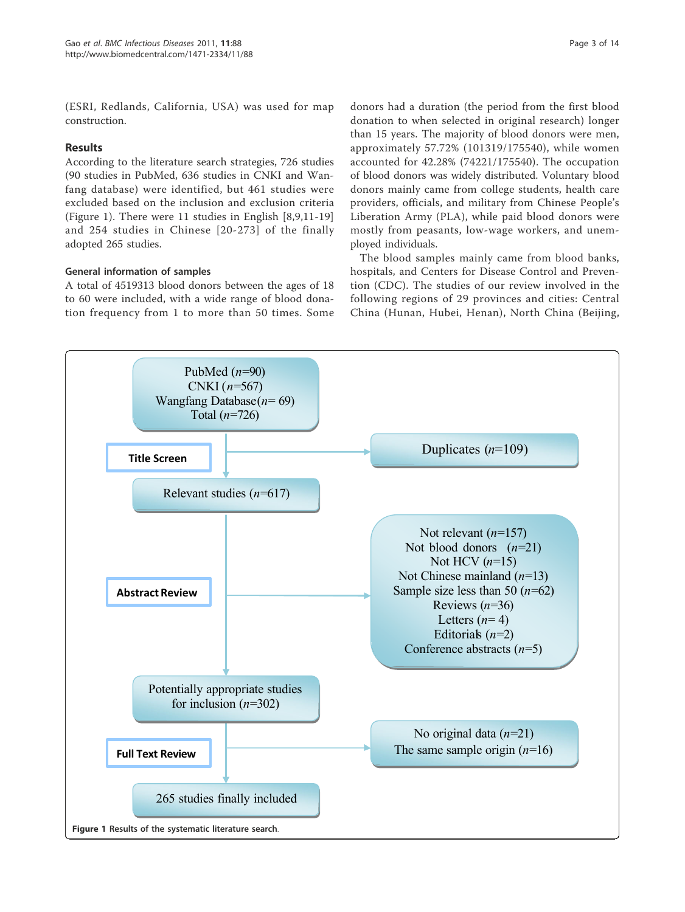Page 3 of 14

(ESRI, Redlands, California, USA) was used for map construction.

# Results

According to the literature search strategies, 726 studies (90 studies in PubMed, 636 studies in CNKI and Wanfang database) were identified, but 461 studies were excluded based on the inclusion and exclusion criteria (Figure 1). There were 11 studies in English [8,9,11-19] and 254 studies in Chinese [20-273] of the finally adopted 265 studies.

## General information of samples

A total of 4519313 blood donors between the ages of 18 to 60 were included, with a wide range of blood donation frequency from 1 to more than 50 times. Some donors had a duration (the period from the first blood donation to when selected in original research) longer than 15 years. The majority of blood donors were men, approximately 57.72% (101319/175540), while women accounted for 42.28% (74221/175540). The occupation of blood donors was widely distributed. Voluntary blood donors mainly came from college students, health care providers, officials, and military from Chinese People's Liberation Army (PLA), while paid blood donors were mostly from peasants, low-wage workers, and unemployed individuals.

The blood samples mainly came from blood banks, hospitals, and Centers for Disease Control and Prevention (CDC). The studies of our review involved in the following regions of 29 provinces and cities: Central China (Hunan, Hubei, Henan), North China (Beijing,

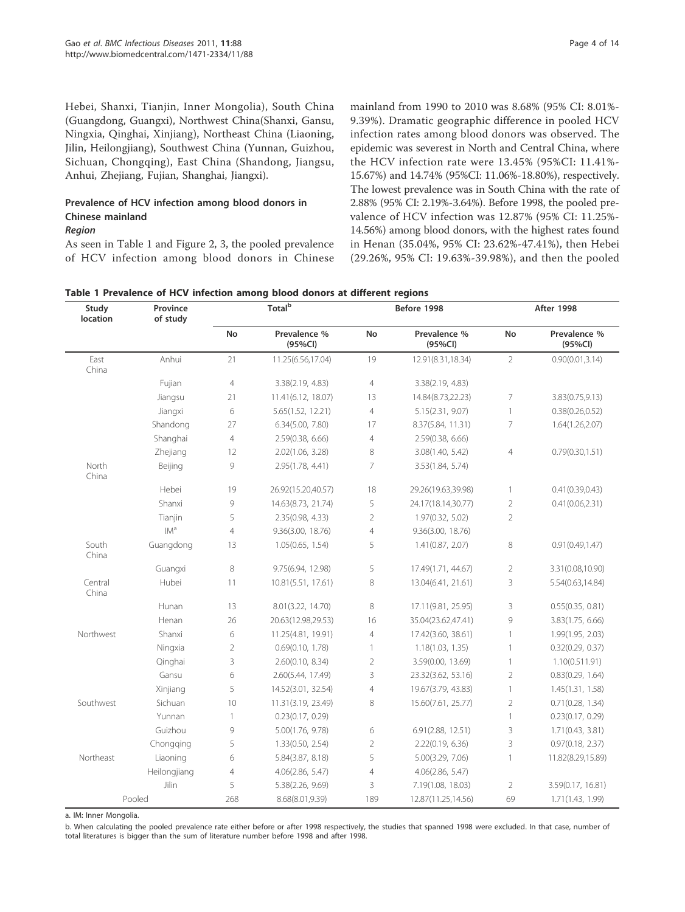Hebei, Shanxi, Tianjin, Inner Mongolia), South China (Guangdong, Guangxi), Northwest China(Shanxi, Gansu, Ningxia, Qinghai, Xinjiang), Northeast China (Liaoning, Jilin, Heilongjiang), Southwest China (Yunnan, Guizhou, Sichuan, Chongqing), East China (Shandong, Jiangsu, Anhui, Zhejiang, Fujian, Shanghai, Jiangxi).

# Prevalence of HCV infection among blood donors in Chinese mainland

# Region

As seen in Table 1 and Figure 2, 3, the pooled prevalence of HCV infection among blood donors in Chinese mainland from 1990 to 2010 was 8.68% (95% CI: 8.01%- 9.39%). Dramatic geographic difference in pooled HCV infection rates among blood donors was observed. The epidemic was severest in North and Central China, where the HCV infection rate were 13.45% (95%CI: 11.41%- 15.67%) and 14.74% (95%CI: 11.06%-18.80%), respectively. The lowest prevalence was in South China with the rate of 2.88% (95% CI: 2.19%-3.64%). Before 1998, the pooled prevalence of HCV infection was 12.87% (95% CI: 11.25%- 14.56%) among blood donors, with the highest rates found in Henan (35.04%, 95% CI: 23.62%-47.41%), then Hebei (29.26%, 95% CI: 19.63%-39.98%), and then the pooled

|  | Table 1 Prevalence of HCV infection among blood donors at different regions |  |  |  |  |  |  |  |  |
|--|-----------------------------------------------------------------------------|--|--|--|--|--|--|--|--|
|--|-----------------------------------------------------------------------------|--|--|--|--|--|--|--|--|

| Study<br>location | Province<br>of study | Total <sup>b</sup> |                            | Before 1998    |                            | After 1998     |                         |
|-------------------|----------------------|--------------------|----------------------------|----------------|----------------------------|----------------|-------------------------|
|                   |                      | <b>No</b>          | Prevalence %<br>$(95\%CI)$ | <b>No</b>      | Prevalence %<br>$(95\%CI)$ | No             | Prevalence %<br>(95%CI) |
| East<br>China     | Anhui                | 21                 | 11.25(6.56,17.04)          | 19             | 12.91(8.31,18.34)          | $\overline{2}$ | 0.90(0.01, 3.14)        |
|                   | Fujian               | $\overline{4}$     | 3.38(2.19, 4.83)           | $\overline{4}$ | 3.38(2.19, 4.83)           |                |                         |
|                   | Jiangsu              | 21                 | 11.41(6.12, 18.07)         | 13             | 14.84(8.73,22.23)          | $\overline{7}$ | 3.83(0.75,9.13)         |
|                   | Jiangxi              | 6                  | 5.65(1.52, 12.21)          | $\overline{4}$ | 5.15(2.31, 9.07)           | $\mathbf{1}$   | 0.38(0.26, 0.52)        |
|                   | Shandong             | 27                 | 6.34(5.00, 7.80)           | 17             | 8.37(5.84, 11.31)          | 7              | 1.64(1.26, 2.07)        |
|                   | Shanghai             | $\overline{4}$     | 2.59(0.38, 6.66)           | $\overline{4}$ | 2.59(0.38, 6.66)           |                |                         |
|                   | Zhejiang             | 12                 | 2.02(1.06, 3.28)           | $\,8\,$        | 3.08(1.40, 5.42)           | $\overline{4}$ | 0.79(0.30, 1.51)        |
| North<br>China    | Beijing              | 9                  | 2.95(1.78, 4.41)           | 7              | 3.53(1.84, 5.74)           |                |                         |
|                   | Hebei                | 19                 | 26.92(15.20,40.57)         | 18             | 29.26(19.63,39.98)         | 1              | 0.41(0.39, 0.43)        |
|                   | Shanxi               | 9                  | 14.63(8.73, 21.74)         | 5              | 24.17(18.14,30.77)         | 2              | 0.41(0.06, 2.31)        |
|                   | Tianjin              | 5                  | 2.35(0.98, 4.33)           | $\overline{2}$ | 1.97(0.32, 5.02)           | $\overline{2}$ |                         |
|                   | IM <sup>a</sup>      | $\overline{4}$     | 9.36(3.00, 18.76)          | $\overline{4}$ | 9.36(3.00, 18.76)          |                |                         |
| South<br>China    | Guangdong            | 13                 | 1.05(0.65, 1.54)           | 5              | 1.41(0.87, 2.07)           | 8              | 0.91(0.49, 1.47)        |
|                   | Guangxi              | 8                  | 9.75(6.94, 12.98)          | 5              | 17.49(1.71, 44.67)         | 2              | 3.31(0.08,10.90)        |
| Central<br>China  | Hubei                | 11                 | 10.81(5.51, 17.61)         | 8              | 13.04(6.41, 21.61)         | 3              | 5.54(0.63,14.84)        |
|                   | Hunan                | 13                 | 8.01(3.22, 14.70)          | 8              | 17.11(9.81, 25.95)         | 3              | 0.55(0.35, 0.81)        |
|                   | Henan                | 26                 | 20.63(12.98,29.53)         | 16             | 35.04(23.62,47.41)         | 9              | 3.83(1.75, 6.66)        |
| Northwest         | Shanxi               | 6                  | 11.25(4.81, 19.91)         | $\overline{4}$ | 17.42(3.60, 38.61)         | 1              | 1.99(1.95, 2.03)        |
|                   | Ningxia              | $\overline{2}$     | 0.69(0.10, 1.78)           | $\overline{1}$ | 1.18(1.03, 1.35)           | 1              | 0.32(0.29, 0.37)        |
|                   | Qinghai              | 3                  | 2.60(0.10, 8.34)           | $\overline{2}$ | 3.59(0.00, 13.69)          | $\mathbf{1}$   | 1.10(0.511.91)          |
|                   | Gansu                | 6                  | 2.60(5.44, 17.49)          | 3              | 23.32(3.62, 53.16)         | 2              | 0.83(0.29, 1.64)        |
|                   | Xinjiang             | 5                  | 14.52(3.01, 32.54)         | $\overline{4}$ | 19.67(3.79, 43.83)         | 1              | 1.45(1.31, 1.58)        |
| Southwest         | Sichuan              | 10                 | 11.31(3.19, 23.49)         | 8              | 15.60(7.61, 25.77)         | $\overline{2}$ | 0.71(0.28, 1.34)        |
|                   | Yunnan               | $\mathbf{1}$       | 0.23(0.17, 0.29)           |                |                            | 1              | 0.23(0.17, 0.29)        |
|                   | Guizhou              | 9                  | 5.00(1.76, 9.78)           | 6              | 6.91(2.88, 12.51)          | 3              | 1.71(0.43, 3.81)        |
|                   | Chongging            | 5                  | 1.33(0.50, 2.54)           | $\overline{2}$ | 2.22(0.19, 6.36)           | 3              | 0.97(0.18, 2.37)        |
| Northeast         | Liaoning             | 6                  | 5.84(3.87, 8.18)           | 5              | 5.00(3.29, 7.06)           | $\mathbf{1}$   | 11.82(8.29,15.89)       |
|                   | Heilongjiang         | $\overline{4}$     | 4.06(2.86, 5.47)           | $\overline{4}$ | 4.06(2.86, 5.47)           |                |                         |
|                   | Jilin                | 5                  | 5.38(2.26, 9.69)           | $\mathsf 3$    | 7.19(1.08, 18.03)          | 2              | 3.59(0.17, 16.81)       |
|                   | Pooled               | 268                | 8.68(8.01,9.39)            | 189            | 12.87(11.25,14.56)         | 69             | 1.71(1.43, 1.99)        |

a. IM: Inner Mongolia.

b. When calculating the pooled prevalence rate either before or after 1998 respectively, the studies that spanned 1998 were excluded. In that case, number of total literatures is bigger than the sum of literature number before 1998 and after 1998.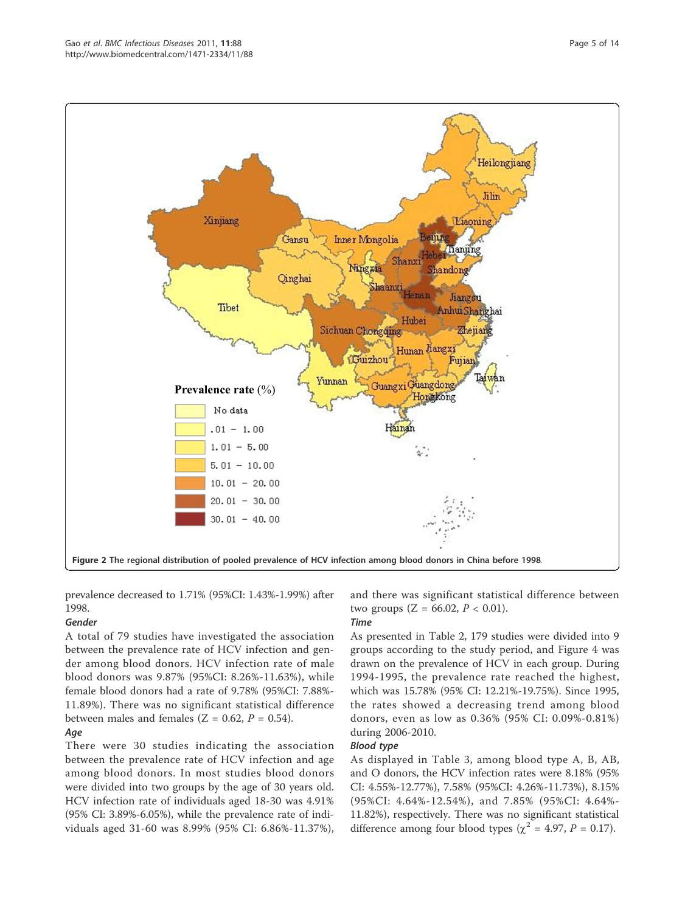

prevalence decreased to 1.71% (95%CI: 1.43%-1.99%) after 1998.

#### Gender

A total of 79 studies have investigated the association between the prevalence rate of HCV infection and gender among blood donors. HCV infection rate of male blood donors was 9.87% (95%CI: 8.26%-11.63%), while female blood donors had a rate of 9.78% (95%CI: 7.88%- 11.89%). There was no significant statistical difference between males and females ( $Z = 0.62$ ,  $P = 0.54$ ).

# Age

There were 30 studies indicating the association between the prevalence rate of HCV infection and age among blood donors. In most studies blood donors were divided into two groups by the age of 30 years old. HCV infection rate of individuals aged 18-30 was 4.91% (95% CI: 3.89%-6.05%), while the prevalence rate of individuals aged 31-60 was 8.99% (95% CI: 6.86%-11.37%),

and there was significant statistical difference between two groups ( $Z = 66.02, P < 0.01$ ).

#### Time

As presented in Table 2, 179 studies were divided into 9 groups according to the study period, and Figure 4 was drawn on the prevalence of HCV in each group. During 1994-1995, the prevalence rate reached the highest, which was 15.78% (95% CI: 12.21%-19.75%). Since 1995, the rates showed a decreasing trend among blood donors, even as low as 0.36% (95% CI: 0.09%-0.81%) during 2006-2010.

#### Blood type

As displayed in Table 3, among blood type A, B, AB, and O donors, the HCV infection rates were 8.18% (95% CI: 4.55%-12.77%), 7.58% (95%CI: 4.26%-11.73%), 8.15% (95%CI: 4.64%-12.54%), and 7.85% (95%CI: 4.64%- 11.82%), respectively. There was no significant statistical difference among four blood types ( $\chi^2$  = 4.97, P = 0.17).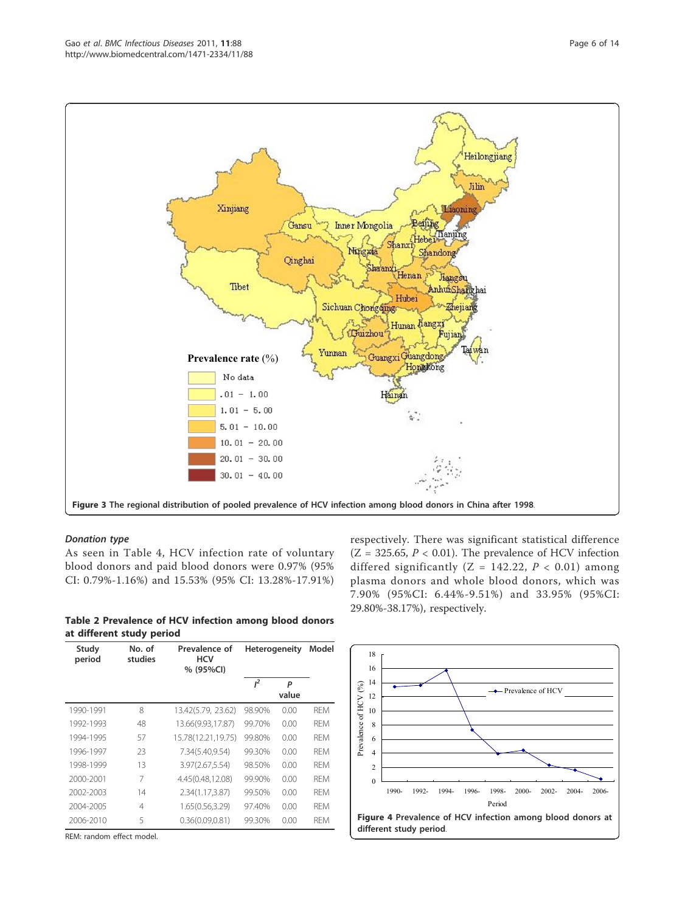

#### Donation type

As seen in Table 4, HCV infection rate of voluntary blood donors and paid blood donors were 0.97% (95% CI: 0.79%-1.16%) and 15.53% (95% CI: 13.28%-17.91%)

respectively. There was significant statistical difference  $(Z = 325.65, P < 0.01)$ . The prevalence of HCV infection differed significantly (Z = 142.22,  $P < 0.01$ ) among plasma donors and whole blood donors, which was 7.90% (95%CI: 6.44%-9.51%) and 33.95% (95%CI: 29.80%-38.17%), respectively.

| Table 2 Prevalence of HCV infection among blood donors |  |  |  |
|--------------------------------------------------------|--|--|--|
| at different study period                              |  |  |  |

| Study<br>period | No. of<br>studies | Prevalence of<br>HCV<br>% (95%CI) | Heterogeneity |            | Model      |
|-----------------|-------------------|-----------------------------------|---------------|------------|------------|
|                 |                   |                                   | $I^2$         | P<br>value |            |
| 1990-1991       | 8                 | 13.42(5.79, 23.62)                | 98.90%        | 0.00       | <b>RFM</b> |
| 1992-1993       | 48                | 13.66(9.93,17.87)                 | 99.70%        | 0.00       | <b>RFM</b> |
| 1994-1995       | 57                | 15.78(12.21.19.75)                | 99.80%        | 0.00       | <b>RFM</b> |
| 1996-1997       | 23                | 7.34(5.40,9.54)                   | 99.30%        | 0.00       | <b>RFM</b> |
| 1998-1999       | 13                | 3.97(2.67,5.54)                   | 98.50%        | 0.00       | <b>RFM</b> |
| 2000-2001       | 7                 | 4.45(0.48,12.08)                  | 99.90%        | 0.00       | <b>RFM</b> |
| 2002-2003       | 14                | 2.34(1.17,3.87)                   | 99.50%        | 0.00       | <b>RFM</b> |
| 2004-2005       | 4                 | 1.65(0.56,3.29)                   | 97.40%        | 0.00       | <b>RFM</b> |
| 2006-2010       | 5                 | 0.36(0.09, 0.81)                  | 99.30%        | 0.00       | <b>REM</b> |

REM: random effect model.

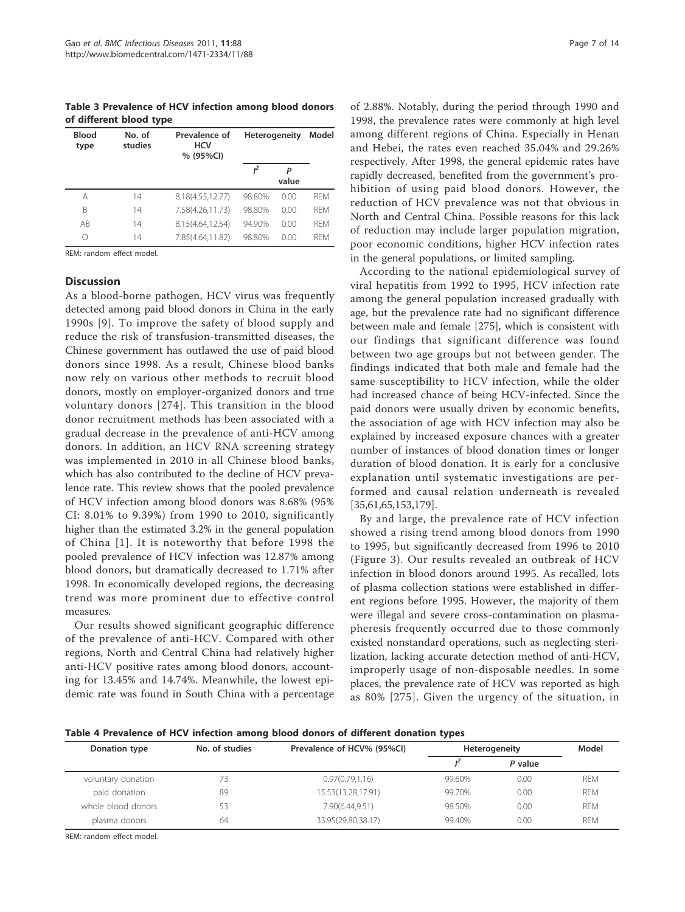Table 3 Prevalence of HCV infection among blood donors of different blood type

| <b>Blood</b><br>type | No. of<br>studies | Prevalence of<br><b>HCV</b><br>% (95%CI) | <b>Heterogeneity</b> |            | Model      |
|----------------------|-------------------|------------------------------------------|----------------------|------------|------------|
|                      |                   |                                          | $I^2$                | P<br>value |            |
| А                    | 14                | 8.18(4.55,12.77)                         | 98.80%               | 0.00       | <b>RFM</b> |
| B                    | 14                | 7.58(4.26,11.73)                         | 98.80%               | 0.00       | <b>REM</b> |
| AB                   | 14                | 8.15(4.64,12.54)                         | 94.90%               | 0.00       | <b>RFM</b> |
| Ω                    | 14                | 7.85(4.64,11.82)                         | 98.80%               | 0.00       | <b>RFM</b> |

REM: random effect model.

#### **Discussion**

As a blood-borne pathogen, HCV virus was frequently detected among paid blood donors in China in the early 1990s [9]. To improve the safety of blood supply and reduce the risk of transfusion-transmitted diseases, the Chinese government has outlawed the use of paid blood donors since 1998. As a result, Chinese blood banks now rely on various other methods to recruit blood donors, mostly on employer-organized donors and true voluntary donors [274]. This transition in the blood donor recruitment methods has been associated with a gradual decrease in the prevalence of anti-HCV among donors. In addition, an HCV RNA screening strategy was implemented in 2010 in all Chinese blood banks, which has also contributed to the decline of HCV prevalence rate. This review shows that the pooled prevalence of HCV infection among blood donors was 8.68% (95% CI: 8.01% to 9.39%) from 1990 to 2010, significantly higher than the estimated 3.2% in the general population of China [1]. It is noteworthy that before 1998 the pooled prevalence of HCV infection was 12.87% among blood donors, but dramatically decreased to 1.71% after 1998. In economically developed regions, the decreasing trend was more prominent due to effective control measures.

Our results showed significant geographic difference of the prevalence of anti-HCV. Compared with other regions, North and Central China had relatively higher anti-HCV positive rates among blood donors, accounting for 13.45% and 14.74%. Meanwhile, the lowest epidemic rate was found in South China with a percentage

of 2.88%. Notably, during the period through 1990 and 1998, the prevalence rates were commonly at high level among different regions of China. Especially in Henan and Hebei, the rates even reached 35.04% and 29.26% respectively. After 1998, the general epidemic rates have rapidly decreased, benefited from the government's prohibition of using paid blood donors. However, the reduction of HCV prevalence was not that obvious in North and Central China. Possible reasons for this lack of reduction may include larger population migration, poor economic conditions, higher HCV infection rates in the general populations, or limited sampling.

According to the national epidemiological survey of viral hepatitis from 1992 to 1995, HCV infection rate among the general population increased gradually with age, but the prevalence rate had no significant difference between male and female [275], which is consistent with our findings that significant difference was found between two age groups but not between gender. The findings indicated that both male and female had the same susceptibility to HCV infection, while the older had increased chance of being HCV-infected. Since the paid donors were usually driven by economic benefits, the association of age with HCV infection may also be explained by increased exposure chances with a greater number of instances of blood donation times or longer duration of blood donation. It is early for a conclusive explanation until systematic investigations are performed and causal relation underneath is revealed [35,61,65,153,179].

By and large, the prevalence rate of HCV infection showed a rising trend among blood donors from 1990 to 1995, but significantly decreased from 1996 to 2010 (Figure 3). Our results revealed an outbreak of HCV infection in blood donors around 1995. As recalled, lots of plasma collection stations were established in different regions before 1995. However, the majority of them were illegal and severe cross-contamination on plasmapheresis frequently occurred due to those commonly existed nonstandard operations, such as neglecting sterilization, lacking accurate detection method of anti-HCV, improperly usage of non-disposable needles. In some places, the prevalence rate of HCV was reported as high as 80% [275]. Given the urgency of the situation, in

| Table 4 Prevalence of HCV infection among blood donors of different donation types |  |
|------------------------------------------------------------------------------------|--|
|------------------------------------------------------------------------------------|--|

| Donation type      | No. of studies | Prevalence of HCV% (95%CI) | Heterogeneity | Model   |            |
|--------------------|----------------|----------------------------|---------------|---------|------------|
|                    |                |                            |               | P value |            |
| voluntary donation | 73             | 0.97(0.79,1.16)            | 99.60%        | 0.00    | <b>REM</b> |
| paid donation      | 89             | 15.53(13.28,17.91)         | 99.70%        | 0.001   | <b>REM</b> |
| whole blood donors | 53             | 7.90(6.44,9.51)            | 98.50%        | 0.00    | <b>RFM</b> |
| plasma donors      | 64             | 33.95(29.80,38.17)         | 99.40%        | 0.00    | <b>REM</b> |

REM: random effect model.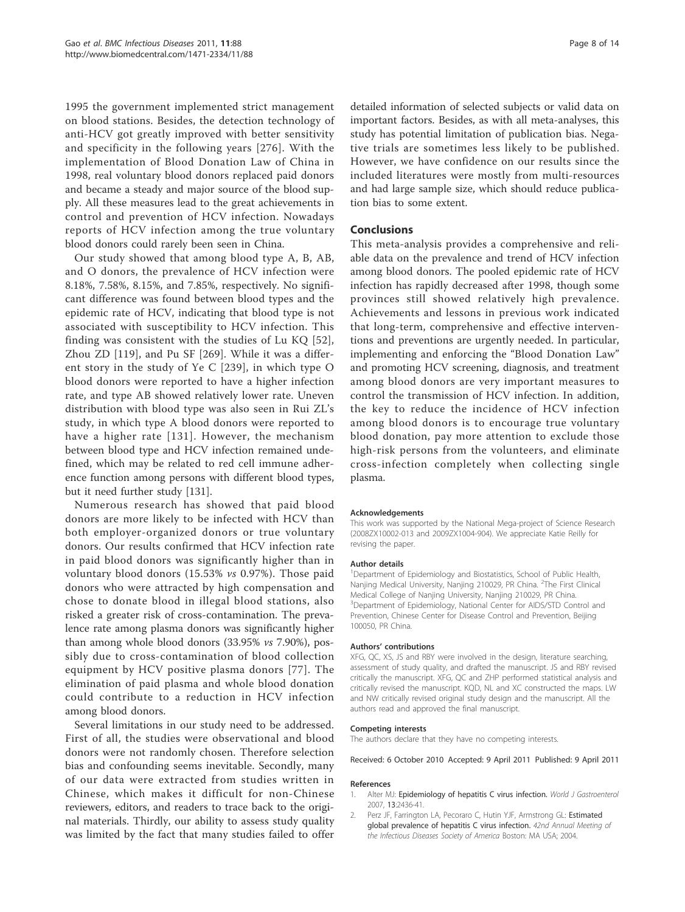1995 the government implemented strict management on blood stations. Besides, the detection technology of anti-HCV got greatly improved with better sensitivity and specificity in the following years [276]. With the implementation of Blood Donation Law of China in 1998, real voluntary blood donors replaced paid donors and became a steady and major source of the blood supply. All these measures lead to the great achievements in control and prevention of HCV infection. Nowadays reports of HCV infection among the true voluntary blood donors could rarely been seen in China.

Our study showed that among blood type A, B, AB, and O donors, the prevalence of HCV infection were 8.18%, 7.58%, 8.15%, and 7.85%, respectively. No significant difference was found between blood types and the epidemic rate of HCV, indicating that blood type is not associated with susceptibility to HCV infection. This finding was consistent with the studies of Lu KQ [52], Zhou ZD [119], and Pu SF [269]. While it was a different story in the study of Ye C [239], in which type O blood donors were reported to have a higher infection rate, and type AB showed relatively lower rate. Uneven distribution with blood type was also seen in Rui ZL's study, in which type A blood donors were reported to have a higher rate [131]. However, the mechanism between blood type and HCV infection remained undefined, which may be related to red cell immune adherence function among persons with different blood types, but it need further study [131].

Numerous research has showed that paid blood donors are more likely to be infected with HCV than both employer-organized donors or true voluntary donors. Our results confirmed that HCV infection rate in paid blood donors was significantly higher than in voluntary blood donors (15.53% vs 0.97%). Those paid donors who were attracted by high compensation and chose to donate blood in illegal blood stations, also risked a greater risk of cross-contamination. The prevalence rate among plasma donors was significantly higher than among whole blood donors (33.95% vs 7.90%), possibly due to cross-contamination of blood collection equipment by HCV positive plasma donors [77]. The elimination of paid plasma and whole blood donation could contribute to a reduction in HCV infection among blood donors.

Several limitations in our study need to be addressed. First of all, the studies were observational and blood donors were not randomly chosen. Therefore selection bias and confounding seems inevitable. Secondly, many of our data were extracted from studies written in Chinese, which makes it difficult for non-Chinese reviewers, editors, and readers to trace back to the original materials. Thirdly, our ability to assess study quality was limited by the fact that many studies failed to offer

detailed information of selected subjects or valid data on important factors. Besides, as with all meta-analyses, this study has potential limitation of publication bias. Negative trials are sometimes less likely to be published. However, we have confidence on our results since the included literatures were mostly from multi-resources and had large sample size, which should reduce publication bias to some extent.

## Conclusions

This meta-analysis provides a comprehensive and reliable data on the prevalence and trend of HCV infection among blood donors. The pooled epidemic rate of HCV infection has rapidly decreased after 1998, though some provinces still showed relatively high prevalence. Achievements and lessons in previous work indicated that long-term, comprehensive and effective interventions and preventions are urgently needed. In particular, implementing and enforcing the "Blood Donation Law" and promoting HCV screening, diagnosis, and treatment among blood donors are very important measures to control the transmission of HCV infection. In addition, the key to reduce the incidence of HCV infection among blood donors is to encourage true voluntary blood donation, pay more attention to exclude those high-risk persons from the volunteers, and eliminate cross-infection completely when collecting single plasma.

#### Acknowledgements

This work was supported by the National Mega-project of Science Research (2008ZX10002-013 and 2009ZX1004-904). We appreciate Katie Reilly for revising the paper.

#### Author details

<sup>1</sup>Department of Epidemiology and Biostatistics, School of Public Health Nanjing Medical University, Nanjing 210029, PR China. <sup>2</sup>The First Clinical Medical College of Nanjing University, Nanjing 210029, PR China. <sup>3</sup>Department of Epidemiology, National Center for AIDS/STD Control and Prevention, Chinese Center for Disease Control and Prevention, Beijing 100050, PR China.

#### Authors' contributions

XFG, QC, XS, JS and RBY were involved in the design, literature searching, assessment of study quality, and drafted the manuscript. JS and RBY revised critically the manuscript. XFG, QC and ZHP performed statistical analysis and critically revised the manuscript. KQD, NL and XC constructed the maps. LW and NW critically revised original study design and the manuscript. All the authors read and approved the final manuscript.

#### Competing interests

The authors declare that they have no competing interests.

Received: 6 October 2010 Accepted: 9 April 2011 Published: 9 April 2011

#### References

- 1. Alter MJ: Epidemiology of hepatitis C virus infection. World J Gastroenterol 2007, 13:2436-41.
- 2. Perz JF, Farrington LA, Pecoraro C, Hutin YJF, Armstrong GL: Estimated global prevalence of hepatitis C virus infection. 42nd Annual Meeting of the Infectious Diseases Society of America Boston: MA USA; 2004.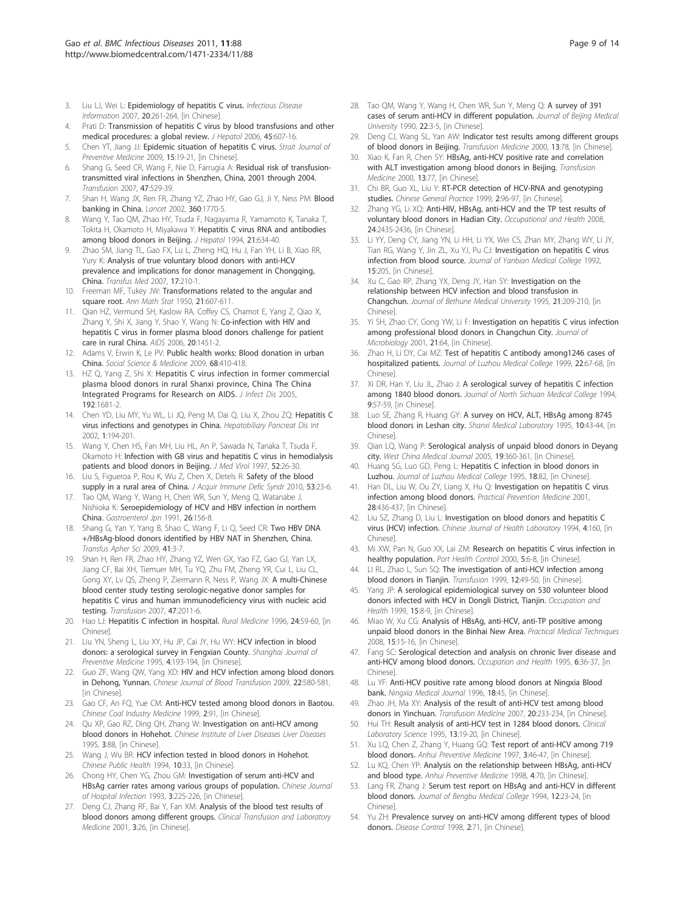- 3. Liu LJ, Wei L: Epidemiology of hepatitis C virus. Infectious Disease Information 2007, 20:261-264, [in Chinese].
- 4. Prati D: Transmission of hepatitis C virus by blood transfusions and other medical procedures: a global review. J Hepatol 2006, 45:607-16.
- 5. Chen YT, Jiang JJ: Epidemic situation of hepatitis C virus. Strait Journal of Preventive Medicine 2009, 15:19-21, [in Chinese].
- 6. Shang G, Seed CR, Wang F, Nie D, Farrugia A: Residual risk of transfusiontransmitted viral infections in Shenzhen, China, 2001 through 2004. Transfusion 2007, 47:529-39.
- 7. Shan H, Wang JX, Ren FR, Zhang YZ, Zhao HY, Gao GJ, Ji Y, Ness PM: Blood banking in China. Lancet 2002, 360:1770-5.
- 8. Wang Y, Tao QM, Zhao HY, Tsuda F, Nagayama R, Yamamoto K, Tanaka T, Tokita H, Okamoto H, Miyakawa Y: Hepatitis C virus RNA and antibodies among blood donors in Beijing. J Hepatol 1994, 21:634-40.
- 9. Zhao SM, Jiang TL, Gao FX, Lu L, Zheng HQ, Hu J, Fan YH, Li B, Xiao RR, Yury K: Analysis of true voluntary blood donors with anti-HCV prevalence and implications for donor management in Chongqing, China. Transfus Med 2007, 17:210-1.
- 10. Freeman MF, Tukey JW: Transformations related to the angular and square root. Ann Math Stat 1950, 21:607-611.
- 11. Qian HZ, Vermund SH, Kaslow RA, Coffey CS, Chamot E, Yang Z, Qiao X, Zhang Y, Shi X, Jiang Y, Shao Y, Wang N: Co-infection with HIV and hepatitis C virus in former plasma blood donors challenge for patient care in rural China. AIDS 2006, 20:1451-2.
- 12. Adams V, Erwin K, Le PV: Public health works: Blood donation in urban China. Social Science & Medicine 2009, 68:410-418.
- 13. HZ Q, Yang Z, Shi X: Hepatitis C virus infection in former commercial plasma blood donors in rural Shanxi province, China The China Integrated Programs for Research on AIDS. J Infect Dis 2005, 192:1681-2.
- 14. Chen YD, Liu MY, Yu WL, Li JQ, Peng M, Dai Q, Liu X, Zhou ZQ: Hepatitis C virus infections and genotypes in China. Hepatobiliary Pancreat Dis Int 2002, 1:194-201.
- 15. Wang Y, Chen HS, Fan MH, Liu HL, An P, Sawada N, Tanaka T, Tsuda F, Okamoto H: Infection with GB virus and hepatitis C virus in hemodialysis patients and blood donors in Beijing. J Med Virol 1997, 52:26-30.
- 16. Liu S, Figueroa P, Rou K, Wu Z, Chen X, Detels R: Safety of the blood supply in a rural area of China. J Acquir Immune Defic Syndr 2010, 53:23-6.
- 17. Tao QM, Wang Y, Wang H, Chen WR, Sun Y, Meng Q, Watanabe J, Nishioka K: Seroepidemiology of HCV and HBV infection in northern China. Gastroenterol Jpn 1991, 26:156-8.
- 18. Shang G, Yan Y, Yang B, Shao C, Wang F, Li Q, Seed CR: Two HBV DNA +/HBsAg-blood donors identified by HBV NAT in Shenzhen, China. Transfus Apher Sci 2009, 41:3-7.
- 19. Shan H, Ren FR, Zhao HY, Zhang YZ, Wen GX, Yao FZ, Gao GJ, Yan LX, Jiang CF, Bai XH, Tiemuer MH, Tu YQ, Zhu FM, Zheng YR, Cui L, Liu CL, Gong XY, Lv QS, Zheng P, Ziermann R, Ness P, Wang JX: A multi-Chinese blood center study testing serologic-negative donor samples for hepatitis C virus and human immunodeficiency virus with nucleic acid testing. Transfusion 2007, 47:2011-6.
- 20. Hao LI: Hepatitis C infection in hospital. Rural Medicine 1996, 24:59-60, [in Chinese].
- 21. Liu YN, Sheng L, Liu XY, Hu JP, Cai JY, Hu WY: HCV infection in blood donors: a serological survey in Fengxian County. Shanghai Journal of Preventive Medicine 1995, 4:193-194, [in Chinese].
- 22. Guo ZF, Wang QW, Yang XD: HIV and HCV infection among blood donors in Dehong, Yunnan. Chinese Journal of Blood Transfusion 2009, 22:580-581, [in Chinese].
- 23. Gao CF, An FQ, Yue CM: Anti-HCV tested among blood donors in Baotou. Chinese Coal Industry Medicine 1999, 2:91, [in Chinese].
- 24. Qu XP, Gao RZ, Ding QH, Zhang W: Investigation on anti-HCV among blood donors in Hohehot. Chinese Institute of Liver Diseases Liver Diseases 1995, 3:88, [in Chinese].
- 25. Wang J, Wu BR: HCV infection tested in blood donors in Hohehot. Chinese Public Health 1994, 10:33, [in Chinese].
- 26. Chong HY, Chen YG, Zhou GM: Investigation of serum anti-HCV and HBsAg carrier rates among various groups of population. Chinese Journal of Hospital Infection 1993, 3:225-226, [in Chinese].
- 27. Deng CJ, Zhang RF, Bai Y, Fan XM: Analysis of the blood test results of blood donors among different groups. Clinical Transfusion and Laboratory Medicine 2001, 3:26, [in Chinese].
- 28. Tao OM, Wang Y, Wang H, Chen WR, Sun Y, Meng O: A survey of 391 cases of serum anti-HCV in different population. Journal of Beijing Medical University 1990, 22:3-5, [in Chinese].
- 29. Deng CJ, Wang SL, Yan AW: Indicator test results among different groups of blood donors in Beijing. Transfusion Medicine 2000, 13:78, [in Chinese].
- 30. Xiao K, Fan R, Chen SY: HBsAg, anti-HCV positive rate and correlation with ALT investigation among blood donors in Beijing. Transfusion Medicine 2000, 13:77, [in Chinese].
- 31. Chi BR, Guo XL, Liu Y: RT-PCR detection of HCV-RNA and genotyping studies. Chinese General Practice 1999, 2:96-97, [in Chinese].
- 32. Zhang YG, Li XQ: Anti-HIV, HBsAg, anti-HCV and the TP test results of voluntary blood donors in Hadian City. Occupational and Health 2008, 24:2435-2436, [in Chinese].
- 33. Li YY, Deng CY, Jiang YN, Li HH, Li YX, Wei CS, Zhan MY, Zhang WY, Li JY, Tian RG, Wang Y, Jin ZL, Xu YJ, Pu CJ: Investigation on hepatitis C virus infection from blood source. Journal of Yanbian Medical College 1992, 15:205, [in Chinese].
- 34. Xu C, Gao RP, Zhang YX, Deng JY, Han SY: Investigation on the relationship between HCV infection and blood transfusion in Changchun. Journal of Bethune Medical University 1995, 21:209-210, [in Chinese].
- 35. Yi SH, Zhao CY, Gong YW, Li F: Investigation on hepatitis C virus infection among professional blood donors in Changchun City. Journal of Microbiology 2001, 21:64, [in Chinese].
- 36. Zhao H, Li DY, Cai MZ: Test of hepatitis C antibody among1246 cases of hospitalized patients. Journal of Luzhou Medical College 1999, 22:67-68, [in Chinese].
- 37. Xi DR, Han Y, Liu JL, Zhao J: A serological survey of hepatitis C infection among 1840 blood donors. Journal of North Sichuan Medical College 1994, 9:57-59, [in Chinese].
- 38. Luo SE, Zhang R, Huang GY: A survey on HCV, ALT, HBsAg among 8745 blood donors in Leshan city. Shanxi Medical Laboratory 1995, 10:43-44, [in Chinese].
- 39. Qian LQ, Wang P: Serological analysis of unpaid blood donors in Deyang city. West China Medical Journal 2005, 19:360-361, [in Chinese].
- 40. Huang SG, Luo GD, Peng L: Hepatitis C infection in blood donors in Luzhou. Journal of Luzhou Medical College 1995, 18:82, [in Chinese].
- 41. Han DL, Liu W, Ou ZY, Liang X, Hu Q: Investigation on hepatitis C virus infection among blood donors. Practical Prevention Medicine 2001, 28:436-437, [in Chinese].
- 42. Liu SZ, Zhang D, Liu L: Investigation on blood donors and hepatitis C virus (HCV) infection. Chinese Journal of Health Laboratory 1994, 4:160, [in Chinese].
- 43. Mi XW, Pan N, Guo XX, Lai ZM: Research on hepatitis C virus infection in healthy population. Port Health Control 2000, 5:6-8, [in Chinese].
- 44. LI RL, Zhao L, Sun SQ: The investigation of anti-HCV infection among blood donors in Tianjin. Transfusion 1999, 12:49-50, [in Chinese].
- 45. Yang JP: A serological epidemiological survey on 530 volunteer blood donors infected with HCV in Dongli District, Tianjin. Occupation and Health 1999, 15:8-9, [in Chinese].
- 46. Miao W, Xu CG: Analysis of HBsAg, anti-HCV, anti-TP positive among unpaid blood donors in the Binhai New Area. Practical Medical Techniques 2008, 15:15-16, [in Chinese].
- 47. Fang SC: Serological detection and analysis on chronic liver disease and anti-HCV among blood donors. Occupation and Health 1995, 6:36-37, [in Chinese].
- 48. Lu YF: Anti-HCV positive rate among blood donors at Ningxia Blood bank. Ningxia Medical Journal 1996, 18:45, [in Chinese].
- 49. Zhao JH, Ma XY: Analysis of the result of anti-HCV test among blood donors in Yinchuan. Transfusion Medicine 2007, 20:233-234, [in Chinese].
- 50. Hui TH: Result analysis of anti-HCV test in 1284 blood donors. Clinical Laboratory Science 1995, 13:19-20, [in Chinese].
- 51. Xu LQ, Chen Z, Zhang Y, Huang GQ: Test report of anti-HCV among 719 blood donors. Anhui Preventive Medicine 1997, 3:46-47, [in Chinese].
- Lu KQ, Chen YP: Analysis on the relationship between HBsAg, anti-HCV and blood type. Anhui Preventive Medicine 1998, 4:70, [in Chinese].
- 53. Lang FR, Zhang J: Serum test report on HBsAg and anti-HCV in different blood donors. Journal of Bengbu Medical College 1994, 12:23-24, [in Chinese].
- 54. Yu ZH: Prevalence survey on anti-HCV among different types of blood donors. Disease Control 1998, 2:71, [in Chinese].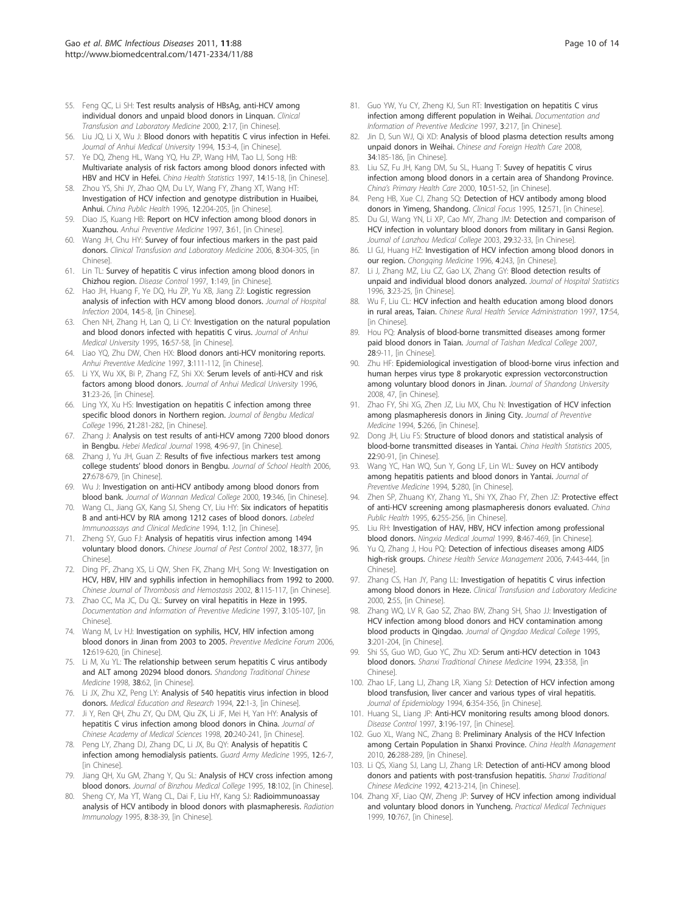- 55. Feng QC, Li SH: Test results analysis of HBsAg, anti-HCV among individual donors and unpaid blood donors in Linguan. Clinical Transfusion and Laboratory Medicine 2000, 2:17, [in Chinese].
- 56. Liu JQ, Li X, Wu J: Blood donors with hepatitis C virus infection in Hefei. Journal of Anhui Medical University 1994, 15:3-4, [in Chinese].
- 57. Ye DQ, Zheng HL, Wang YQ, Hu ZP, Wang HM, Tao LJ, Song HB: Multivariate analysis of risk factors among blood donors infected with HBV and HCV in Hefei. China Health Statistics 1997, 14:15-18, [in Chinese].
- Zhou YS, Shi JY, Zhao QM, Du LY, Wang FY, Zhang XT, Wang HT: Investigation of HCV infection and genotype distribution in Huaibei, Anhui. China Public Health 1996, 12:204-205, [in Chinese].
- 59. Diao JS, Kuang HB: Report on HCV infection among blood donors in Xuanzhou. Anhui Preventive Medicine 1997, 3:61, [in Chinese].
- 60. Wang JH, Chu HY: Survey of four infectious markers in the past paid donors. Clinical Transfusion and Laboratory Medicine 2006, 8:304-305, [in Chinese].
- 61. Lin TL: Survey of hepatitis C virus infection among blood donors in Chizhou region. Disease Control 1997, 1:149, [in Chinese].
- 62. Hao JH, Huang F, Ye DQ, Hu ZP, Yu XB, Jiang ZJ: Logistic regression analysis of infection with HCV among blood donors. Journal of Hospital Infection 2004, 14:5-8, [in Chinese].
- 63. Chen NH, Zhang H, Lan Q, Li CY: Investigation on the natural population and blood donors infected with hepatitis C virus. Journal of Anhui Medical University 1995, 16:57-58, [in Chinese].
- 64. Liao YQ, Zhu DW, Chen HX: Blood donors anti-HCV monitoring reports. Anhui Preventive Medicine 1997, 3:111-112, [in Chinese]
- 65. Li YX, Wu XK, Bi P, Zhang FZ, Shi XX: Serum levels of anti-HCV and risk factors among blood donors. Journal of Anhui Medical University 1996, 31:23-26, [in Chinese].
- 66. Ling YX, Xu HS: Investigation on hepatitis C infection among three specific blood donors in Northern region. Journal of Bengbu Medical College 1996, 21:281-282, [in Chinese].
- 67. Zhang J: Analysis on test results of anti-HCV among 7200 blood donors in Bengbu. Hebei Medical Journal 1998, 4:96-97, [in Chinese].
- 68. Zhang J, Yu JH, Guan Z: Results of five infectious markers test among college students' blood donors in Bengbu. Journal of School Health 2006, 27:678-679, [in Chinese].
- 69. Wu J: Investigation on anti-HCV antibody among blood donors from blood bank. Journal of Wannan Medical College 2000, 19:346, [in Chinese].
- 70. Wang CL, Jiang GX, Kang SJ, Sheng CY, Liu HY: Six indicators of hepatitis B and anti-HCV by RIA among 1212 cases of blood donors. Labeled Immunoassays and Clinical Medicine 1994, 1:12, [in Chinese].
- 71. Zheng SY, Guo FJ: Analysis of hepatitis virus infection among 1494 voluntary blood donors. Chinese Journal of Pest Control 2002, 18:377, [in Chinese].
- 72. Ding PF, Zhang XS, Li QW, Shen FK, Zhang MH, Song W: Investigation on HCV, HBV, HIV and syphilis infection in hemophiliacs from 1992 to 2000. Chinese Journal of Thrombosis and Hemostasis 2002, 8:115-117, [in Chinese].
- 73. Zhao CC, Ma JC, Du QL: Survey on viral hepatitis in Heze in 1995. Documentation and Information of Preventive Medicine 1997, 3:105-107, [in Chinese].
- 74. Wang M, Lv HJ: Investigation on syphilis, HCV, HIV infection among blood donors in Jinan from 2003 to 2005. Preventive Medicine Forum 2006, 12:619-620, [in Chinese].
- 75. Li M, Xu YL: The relationship between serum hepatitis C virus antibody and ALT among 20294 blood donors. Shandong Traditional Chinese Medicine 1998, 38:62, [in Chinese].
- 76. Li JX, Zhu XZ, Peng LY: Analysis of 540 hepatitis virus infection in blood donors. Medical Education and Research 1994, 22:1-3, [in Chinese].
- 77. Ji Y, Ren QH, Zhu ZY, Qu DM, Qiu ZK, Li JF, Mei H, Yan HY: Analysis of hepatitis C virus infection among blood donors in China. Journal of Chinese Academy of Medical Sciences 1998, 20:240-241, [in Chinese].
- 78. Peng LY, Zhang DJ, Zhang DC, Li JX, Bu QY: Analysis of hepatitis C infection among hemodialysis patients. Guard Army Medicine 1995, 12:6-7, [in Chinese].
- 79. Jiang QH, Xu GM, Zhang Y, Qu SL: Analysis of HCV cross infection among blood donors. Journal of Binzhou Medical College 1995, 18:102, [in Chinese].
- 80. Sheng CY, Ma YT, Wang CL, Dai F, Liu HY, Kang SJ: Radioimmunoassay analysis of HCV antibody in blood donors with plasmapheresis. Radiation Immunology 1995, 8:38-39, [in Chinese].
- 81. Guo YW, Yu CY, Zheng KJ, Sun RT: Investigation on hepatitis C virus infection among different population in Weihai. Documentation and Information of Preventive Medicine 1997, 3:217, [in Chinese].
- 82. Jin D, Sun WJ, Qi XD: Analysis of blood plasma detection results among unpaid donors in Weihai. Chinese and Foreign Health Care 2008. 34:185-186, [in Chinese].
- 83. Liu SZ, Fu JH, Kang DM, Su SL, Huang T: Suvey of hepatitis C virus infection among blood donors in a certain area of Shandong Province. China's Primary Health Care 2000, 10:51-52, [in Chinese].
- 84. Peng HB, Xue CJ, Zhang SQ: Detection of HCV antibody among blood donors in Yimeng, Shandong. Clinical Focus 1995, 12:571, [in Chinese].
- 85. Du GJ, Wang YN, Li XP, Cao MY, Zhang JM: Detection and comparison of HCV infection in voluntary blood donors from military in Gansi Region. Journal of Lanzhou Medical College 2003, 29:32-33, [in Chinese].
- 86. LI GJ, Huang HZ: Investigation of HCV infection among blood donors in our region. Chongqing Medicine 1996, 4:243, [in Chinese].
- 87. Li J, Zhang MZ, Liu CZ, Gao LX, Zhang GY: Blood detection results of unpaid and individual blood donors analyzed. Journal of Hospital Statistics 1996, 3:23-25, [in Chinese].
- 88. Wu F, Liu CL: HCV infection and health education among blood donors in rural areas, Taian. Chinese Rural Health Service Administration 1997, 17:54, [in Chinese]
- 89. Hou PQ: Analysis of blood-borne transmitted diseases among former paid blood donors in Taian. Journal of Taishan Medical College 2007, 28:9-11, [in Chinese].
- 90. Zhu HF: Epidemiological investigation of blood-borne virus infection and human herpes virus type 8 prokaryotic expression vectorconstruction among voluntary blood donors in Jinan. Journal of Shandong University 2008, 47, [in Chinese].
- 91. Zhao FY, Shi XG, Zhen JZ, Liu MX, Chu N: Investigation of HCV infection among plasmapheresis donors in Jining City. Journal of Preventive Medicine 1994, 5:266, [in Chinese].
- 92. Dong JH, Liu FS: Structure of blood donors and statistical analysis of blood-borne transmitted diseases in Yantai. China Health Statistics 2005, 22:90-91, [in Chinese].
- 93. Wang YC, Han WQ, Sun Y, Gong LF, Lin WL: Suvey on HCV antibody among hepatitis patients and blood donors in Yantai. Journal of Preventive Medicine 1994, 5:280, [in Chinese].
- Zhen SP, Zhuang KY, Zhang YL, Shi YX, Zhao FY, Zhen JZ: Protective effect of anti-HCV screening among plasmapheresis donors evaluated. China Public Health 1995, 6:255-256, [in Chinese].
- Liu RH: Investigation of HAV, HBV, HCV infection among professional blood donors. Ningxia Medical Journal 1999, 8:467-469, [in Chinese].
- 96. Yu Q, Zhang J, Hou PQ: Detection of infectious diseases among AIDS high-risk groups. Chinese Health Service Management 2006, 7:443-444, [in Chinese].
- 97. Zhang CS, Han JY, Pang LL: Investigation of hepatitis C virus infection among blood donors in Heze. Clinical Transfusion and Laboratory Medicine 2000, 2:55, [in Chinese].
- 98. Zhang WQ, LV R, Gao SZ, Zhao BW, Zhang SH, Shao JJ: Investigation of HCV infection among blood donors and HCV contamination among blood products in Qingdao. Journal of Qingdao Medical College 1995, 3:201-204, [in Chinese].
- 99. Shi SS, Guo WD, Guo YC, Zhu XD: Serum anti-HCV detection in 1043 blood donors. Shanxi Traditional Chinese Medicine 1994, 23:358, [in Chinese].
- 100. Zhao LF, Lang LJ, Zhang LR, Xiang SJ: Detection of HCV infection among blood transfusion, liver cancer and various types of viral hepatitis. Journal of Epidemiology 1994, 6:354-356, [in Chinese].
- 101. Huang SL, Liang JP: Anti-HCV monitoring results among blood donors. Disease Control 1997, 3:196-197, [in Chinese].
- 102. Guo XL, Wang NC, Zhang B: Preliminary Analysis of the HCV Infection among Certain Population in Shanxi Province. China Health Management 2010, 26:288-289, [in Chinese].
- 103. Li QS, Xiang SJ, Lang LJ, Zhang LR: Detection of anti-HCV among blood donors and patients with post-transfusion hepatitis. Shanxi Traditional Chinese Medicine 1992, 4:213-214, [in Chinese].
- 104. Zhang XF, Liao QW, Zheng JP: Survey of HCV infection among individual and voluntary blood donors in Yuncheng. Practical Medical Techniques 1999, 10:767, [in Chinese].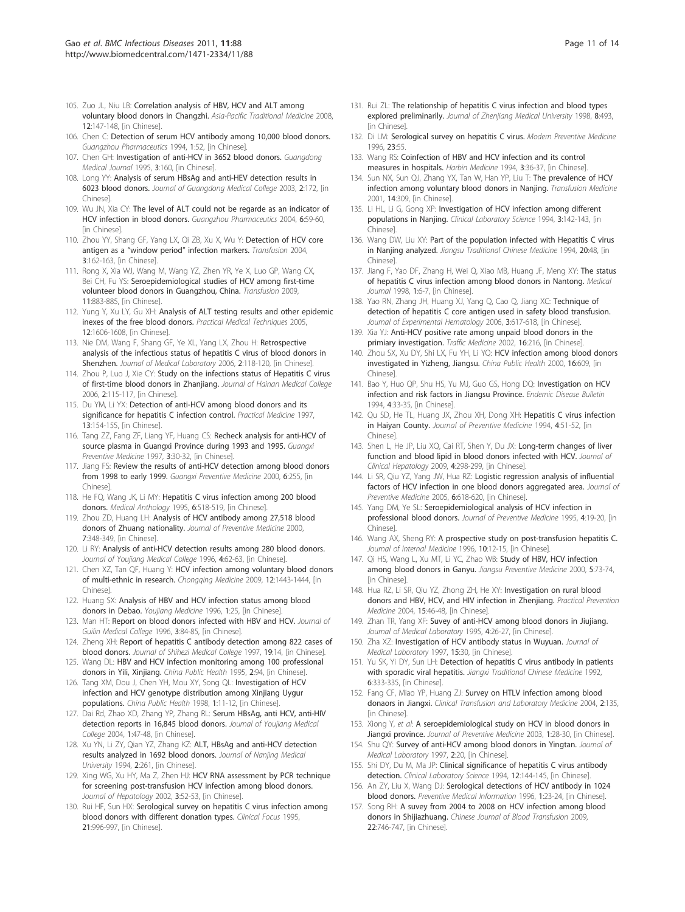- 105. Zuo JL, Niu LB: Correlation analysis of HBV, HCV and ALT among voluntary blood donors in Changzhi. Asia-Pacific Traditional Medicine 2008, 12:147-148, [in Chinese].
- 106. Chen C: Detection of serum HCV antibody among 10,000 blood donors. Guangzhou Pharmaceutics 1994, 1:52, [in Chinese].
- 107. Chen GH: Investigation of anti-HCV in 3652 blood donors. Guangdong Medical Journal 1995, 3:160, [in Chinese].
- 108. Long YY: Analysis of serum HBsAg and anti-HEV detection results in 6023 blood donors. Journal of Guangdong Medical College 2003, 2:172, [in Chinese].
- 109. Wu JN, Xia CY: The level of ALT could not be regarde as an indicator of HCV infection in blood donors. Guangzhou Pharmaceutics 2004, 6:59-60, [in Chinese]
- 110. Zhou YY, Shang GF, Yang LX, Qi ZB, Xu X, Wu Y: Detection of HCV core antigen as a "window period" infection markers. Transfusion 2004, 3:162-163, [in Chinese].
- 111. Rong X, Xia WJ, Wang M, Wang YZ, Zhen YR, Ye X, Luo GP, Wang CX, Bei CH, Fu YS: Seroepidemiological studies of HCV among first-time volunteer blood donors in Guangzhou, China. Transfusion 2009, 11:883-885, [in Chinese].
- 112. Yung Y, Xu LY, Gu XH: Analysis of ALT testing results and other epidemic inexes of the free blood donors. Practical Medical Techniques 2005, 12:1606-1608, [in Chinese].
- 113. Nie DM, Wang F, Shang GF, Ye XL, Yang LX, Zhou H: Retrospective analysis of the infectious status of hepatitis C virus of blood donors in Shenzhen. Journal of Medical Laboratory 2006, 2:118-120, [in Chinese].
- 114. Zhou P, Luo J, Xie CY: Study on the infections status of Hepatitis C virus of first-time blood donors in Zhanjiang. Journal of Hainan Medical College 2006, 2:115-117, [in Chinese].
- 115. Du YM, Li YX: Detection of anti-HCV among blood donors and its significance for hepatitis C infection control. Practical Medicine 1997, 13:154-155, [in Chinese].
- 116. Tang ZZ, Fang ZF, Liang YF, Huang CS: Recheck analysis for anti-HCV of source plasma in Guangxi Province during 1993 and 1995. Guangxi Preventive Medicine 1997, 3:30-32, [in Chinese].
- 117. Jiang FS: Review the results of anti-HCV detection among blood donors from 1998 to early 1999. Guangxi Preventive Medicine 2000, 6:255, [in Chinese].
- 118. He FQ, Wang JK, Li MY: Hepatitis C virus infection among 200 blood donors. Medical Anthology 1995, 6:518-519, [in Chinese].
- 119. Zhou ZD, Huang LH: Analysis of HCV antibody among 27,518 blood donors of Zhuang nationality. Journal of Preventive Medicine 2000, 7:348-349, [in Chinese].
- 120. Li RY: Analysis of anti-HCV detection results among 280 blood donors. Journal of Youjiang Medical College 1996, 4:62-63, [in Chinese].
- 121. Chen XZ, Tan QF, Huang Y: HCV infection among voluntary blood donors of multi-ethnic in research. Chongqing Medicine 2009, 12:1443-1444, [in Chinese].
- 122. Huang SX: Analysis of HBV and HCV infection status among blood donors in Debao. Youjiang Medicine 1996, 1:25, [in Chinese]
- 123. Man HT: Report on blood donors infected with HBV and HCV. Journal of Guilin Medical College 1996, 3:84-85, [in Chinese].
- 124. Zheng XH: Report of hepatitis C antibody detection among 822 cases of blood donors. Journal of Shihezi Medical College 1997, 19:14, [in Chinese].
- 125. Wang DL: HBV and HCV infection monitoring among 100 professional donors in Yili, Xinjiang. China Public Health 1995, 2:94, [in Chinese].
- 126. Tang XM, Dou J, Chen YH, Mou XY, Song QL: Investigation of HCV infection and HCV genotype distribution among Xinjiang Uygur populations. China Public Health 1998, 1:11-12, [in Chinese].
- 127. Dai Rd, Zhao XD, Zhang YP, Zhang RL: Serum HBsAg, anti HCV, anti-HIV detection reports in 16,845 blood donors. Journal of Youjiang Medical College 2004, 1:47-48, [in Chinese].
- 128. Xu YN, Li ZY, Qian YZ, Zhang KZ: ALT, HBsAg and anti-HCV detection results analyzed in 1692 blood donors. Journal of Nanjing Medical University 1994, 2:261, [in Chinese].
- 129. Xing WG, Xu HY, Ma Z, Zhen HJ: HCV RNA assessment by PCR technique for screening post-transfusion HCV infection among blood donors. Journal of Hepatology 2002, 3:52-53, [in Chinese].
- 130. Rui HF, Sun HX: Serological survey on hepatitis C virus infection among blood donors with different donation types. Clinical Focus 1995, 21:996-997, [in Chinese].
- 131. Rui ZL: The relationship of hepatitis C virus infection and blood types explored preliminarily. Journal of Zhenjiang Medical University 1998, 8:493, [in Chinese].
- 132. Di LM: Serological survey on hepatitis C virus. Modern Preventive Medicine 1996, 23:55.
- 133. Wang RS: Coinfection of HBV and HCV infection and its control measures in hospitals. Harbin Medicine 1994, 3:36-37, [in Chinese].
- 134. Sun NX, Sun QJ, Zhang YX, Tan W, Han YP, Liu T: The prevalence of HCV infection among voluntary blood donors in Nanjing. Transfusion Medicine 2001, 14:309, [in Chinese].
- 135. Li HL, Li G, Gong XP: Investigation of HCV infection among different populations in Nanjing. Clinical Laboratory Science 1994, 3:142-143, [in Chinese].
- 136. Wang DW, Liu XY: Part of the population infected with Hepatitis C virus in Nanjing analyzed. Jiangsu Traditional Chinese Medicine 1994, 20:48, [in Chinese].
- 137. Jiang F, Yao DF, Zhang H, Wei Q, Xiao MB, Huang JF, Meng XY: The status of hepatitis C virus infection among blood donors in Nantong. Medical Journal 1998, 1:6-7, [in Chinese].
- 138. Yao RN, Zhang JH, Huang XJ, Yang Q, Cao Q, Jiang XC: Technique of detection of hepatitis C core antigen used in safety blood transfusion. Journal of Experimental Hematology 2006, 3:617-618, [in Chinese].
- 139. Xia YJ: Anti-HCV positive rate among unpaid blood donors in the primiary investigation. Traffic Medicine 2002, 16:216, [in Chinese].
- 140. Zhou SX, Xu DY, Shi LX, Fu YH, Li YQ: HCV infection among blood donors investigated in Yizheng, Jiangsu. China Public Health 2000, 16:609, [in Chinese].
- 141. Bao Y, Huo QP, Shu HS, Yu MJ, Guo GS, Hong DQ: Investigation on HCV infection and risk factors in Jiangsu Province. Endemic Disease Bulletin 1994, 4:33-35, [in Chinese].
- 142. Qu SD, He TL, Huang JX, Zhou XH, Dong XH: Hepatitis C virus infection in Haiyan County. Journal of Preventive Medicine 1994, 4:51-52, [in Chinese].
- 143. Shen L, He JP, Liu XQ, Cai RT, Shen Y, Du JX: Long-term changes of liver function and blood lipid in blood donors infected with HCV. Journal of Clinical Hepatology 2009, 4:298-299, [in Chinese].
- 144. Li SR, Qiu YZ, Yang JW, Hua RZ: Logistic regression analysis of influential factors of HCV infection in one blood donors aggregated area. Journal of Preventive Medicine 2005, 6:618-620, [in Chinese].
- 145. Yang DM, Ye SL: Seroepidemiological analysis of HCV infection in professional blood donors. Journal of Preventive Medicine 1995, 4:19-20, [in Chinese].
- 146. Wang AX, Sheng RY: A prospective study on post-transfusion hepatitis C. Journal of Internal Medicine 1996, 10:12-15, [in Chinese].
- 147. Qi HS, Wang L, Xu MT, Li YC, Zhao WB: Study of HBV, HCV infection among blood donors in Ganyu. Jiangsu Preventive Medicine 2000, 5:73-74, [in Chinese].
- 148. Hua RZ, Li SR, Qiu YZ, Zhong ZH, He XY: Investigation on rural blood donors and HBV, HCV, and HIV infection in Zhenjiang. Practical Prevention Medicine 2004, 15:46-48, [in Chinese].
- 149. Zhan TR, Yang XF: Suvey of anti-HCV among blood donors in Jiujiang. Journal of Medical Laboratory 1995, 4:26-27, [in Chinese].
- 150. Zha XZ: Investigation of HCV antibody status in Wuyuan. Journal of Medical Laboratory 1997, 15:30, [in Chinese].
- 151. Yu SK, Yi DY, Sun LH: Detection of hepatitis C virus antibody in patients with sporadic viral hepatitis. Jiangxi Traditional Chinese Medicine 1992, 6:333-335, [in Chinese].
- 152. Fang CF, Miao YP, Huang ZJ: Survey on HTLV infection among blood donaors in Jiangxi. Clinical Transfusion and Laboratory Medicine 2004, 2:135, [in Chinese].
- 153. Xiong Y, et al: A seroepidemiological study on HCV in blood donors in Jiangxi province. Journal of Preventive Medicine 2003, 1:28-30, [in Chinese].
- 154. Shu QY: Survey of anti-HCV among blood donors in Yingtan. Journal of Medical Laboratory 1997, 2:20, [in Chinese].
- 155. Shi DY, Du M, Ma JP: Clinical significance of hepatitis C virus antibody detection. Clinical Laboratory Science 1994, 12:144-145, [in Chinese].
- 156. An ZY, Liu X, Wang DJ: Serological detections of HCV antibody in 1024 blood donors. Preventive Medical Information 1996, 1:23-24, [in Chinese].
- 157. Song RH: A suvey from 2004 to 2008 on HCV infection among blood donors in Shijiazhuang. Chinese Journal of Blood Transfusion 2009, 22:746-747, [in Chinese].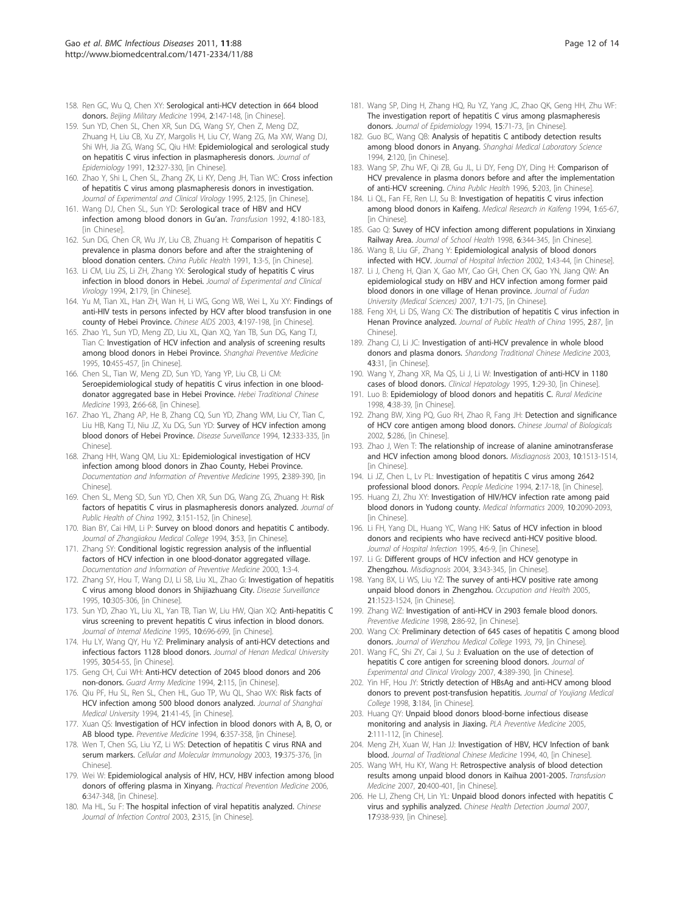- 158. Ren GC, Wu Q, Chen XY: Serological anti-HCV detection in 664 blood donors. Beijing Military Medicine 1994, 2:147-148, [in Chinese].
- 159. Sun YD, Chen SL, Chen XR, Sun DG, Wang SY, Chen Z, Meng DZ, Zhuang H, Liu CB, Xu ZY, Margolis H, Liu CY, Wang ZG, Ma XW, Wang DJ, Shi WH, Jia ZG, Wang SC, Qiu HM: Epidemiological and serological study on hepatitis C virus infection in plasmapheresis donors. Journal of Epidemiology 1991, 12:327-330, [in Chinese].
- 160. Zhao Y, Shi L, Chen SL, Zhang ZK, Li KY, Deng JH, Tian WC: Cross infection of hepatitis C virus among plasmapheresis donors in investigation. Journal of Experimental and Clinical Virology 1995, 2:125, [in Chinese].
- 161. Wang DJ, Chen SL, Sun YD: Serological trace of HBV and HCV infection among blood donors in Gu'an. Transfusion 1992, 4:180-183, [in Chinese].
- 162. Sun DG, Chen CR, Wu JY, Liu CB, Zhuang H: Comparison of hepatitis C prevalence in plasma donors before and after the straightening of blood donation centers. China Public Health 1991, 1:3-5, [in Chinese].
- 163. Li CM, Liu ZS, Li ZH, Zhang YX: Serological study of hepatitis C virus infection in blood donors in Hebei. Journal of Experimental and Clinical Virology 1994, 2:179, [in Chinese].
- 164. Yu M, Tian XL, Han ZH, Wan H, Li WG, Gong WB, Wei L, Xu XY: Findings of anti-HIV tests in persons infected by HCV after blood transfusion in one county of Hebei Province. Chinese AIDS 2003, 4:197-198, [in Chinese].
- 165. Zhao YL, Sun YD, Meng ZD, Liu XL, Qian XQ, Yan TB, Sun DG, Kang TJ, Tian C: Investigation of HCV infection and analysis of screening results among blood donors in Hebei Province. Shanghai Preventive Medicine 1995, 10:455-457, [in Chinese].
- 166. Chen SL, Tian W, Meng ZD, Sun YD, Yang YP, Liu CB, Li CM: Seroepidemiological study of hepatitis C virus infection in one blooddonator aggregated base in Hebei Province. Hebei Traditional Chinese Medicine 1993, 2:66-68, [in Chinese].
- 167. Zhao YL, Zhang AP, He B, Zhang CQ, Sun YD, Zhang WM, Liu CY, Tian C, Liu HB, Kang TJ, Niu JZ, Xu DG, Sun YD: Survey of HCV infection among blood donors of Hebei Province. Disease Surveillance 1994, 12:333-335, [in Chinese].
- 168. Zhang HH, Wang QM, Liu XL: Epidemiological investigation of HCV infection among blood donors in Zhao County, Hebei Province. Documentation and Information of Preventive Medicine 1995, 2:389-390, [in Chinese].
- 169. Chen SL, Meng SD, Sun YD, Chen XR, Sun DG, Wang ZG, Zhuang H: Risk factors of hepatitis C virus in plasmapheresis donors analyzed. Journal of Public Health of China 1992, 3:151-152, [in Chinese].
- 170. Bian BY, Cai HM, Li P: Survey on blood donors and hepatitis C antibody. Journal of Zhangjiakou Medical College 1994, 3:53, [in Chinese].
- 171. Zhang SY: Conditional logistic regression analysis of the influential factors of HCV infection in one blood-donator aggregated village. Documentation and Information of Preventive Medicine 2000, 1:3-4.
- 172. Zhang SY, Hou T, Wang DJ, Li SB, Liu XL, Zhao G: Investigation of hepatitis C virus among blood donors in Shijiazhuang City. Disease Surveillance 1995, 10:305-306, [in Chinese].
- 173. Sun YD, Zhao YL, Liu XL, Yan TB, Tian W, Liu HW, Qian XQ: Anti-hepatitis C virus screening to prevent hepatitis C virus infection in blood donors. Journal of Internal Medicine 1995, 10:696-699, [in Chinese]
- 174. Hu LY, Wang QY, Hu YZ: Preliminary analysis of anti-HCV detections and infectious factors 1128 blood donors. Journal of Henan Medical University 1995, 30:54-55, [in Chinese].
- 175. Geng CH, Cui WH: Anti-HCV detection of 2045 blood donors and 206 non-donors. Guard Army Medicine 1994, 2:115, [in Chinese].
- 176. Qiu PF, Hu SL, Ren SL, Chen HL, Guo TP, Wu QL, Shao WX: Risk facts of HCV infection among 500 blood donors analyzed. Journal of Shanghai Medical University 1994, 21:41-45, [in Chinese].
- 177. Xuan QS: Investigation of HCV infection in blood donors with A, B, O, or AB blood type. Preventive Medicine 1994, 6:357-358, [in Chinese].
- 178. Wen T, Chen SG, Liu YZ, Li WS: Detection of hepatitis C virus RNA and serum markers. Cellular and Molecular Immunology 2003, 19:375-376, [in Chinese].
- 179. Wei W: Epidemiological analysis of HIV, HCV, HBV infection among blood donors of offering plasma in Xinyang. Practical Prevention Medicine 2006, 6:347-348, [in Chinese].
- 180. Ma HL, Su F: The hospital infection of viral hepatitis analyzed. Chinese Journal of Infection Control 2003, 2:315, [in Chinese].
- 181. Wang SP, Ding H, Zhang HQ, Ru YZ, Yang JC, Zhao QK, Geng HH, Zhu WF: The investigation report of hepatitis C virus among plasmapheresis donors. Journal of Epidemiology 1994, 15:71-73, [in Chinese].
- 182. Guo BC, Wang QB: Analysis of hepatitis C antibody detection results among blood donors in Anyang. Shanghai Medical Laboratory Science 1994, 2:120, [in Chinese].
- 183. Wang SP, Zhu WF, Qi ZB, Gu JL, Li DY, Feng DY, Ding H: Comparison of HCV prevalence in plasma donors before and after the implementation of anti-HCV screening. China Public Health 1996, 5:203, [in Chinese].
- 184. Li QL, Fan FE, Ren LJ, Su B: Investigation of hepatitis C virus infection among blood donors in Kaifeng. Medical Research in Kaifeng 1994, 1:65-67, [in Chinese].
- 185. Gao Q: Suvey of HCV infection among different populations in Xinxiang Railway Area. Journal of School Health 1998, 6:344-345, [in Chinese].
- 186. Wang B, Liu GF, Zhang Y: Epidemiological analysis of blood donors infected with HCV. Journal of Hospital Infection 2002, 1:43-44, [in Chinese].
- 187. Li J, Cheng H, Qian X, Gao MY, Cao GH, Chen CK, Gao YN, Jiang QW: An epidemiological study on HBV and HCV infection among former paid blood donors in one village of Henan province. Journal of Fudan University (Medical Sciences) 2007, 1:71-75, [in Chinese].
- 188. Feng XH, Li DS, Wang CX: The distribution of hepatitis C virus infection in Henan Province analyzed. Journal of Public Health of China 1995, 2:87, [in Chinese].
- 189. Zhang CJ, Li JC: Investigation of anti-HCV prevalence in whole blood donors and plasma donors. Shandong Traditional Chinese Medicine 2003, 43:31, [in Chinese].
- 190. Wang Y, Zhang XR, Ma QS, Li J, Li W: Investigation of anti-HCV in 1180 cases of blood donors. Clinical Hepatology 1995, 1:29-30, [in Chinese].
- 191. Luo B: Epidemiology of blood donors and hepatitis C. Rural Medicine 1998, 4:38-39, [in Chinese].
- 192. Zhang BW, Xing PQ, Guo RH, Zhao R, Fang JH: Detection and significance of HCV core antigen among blood donors. Chinese Journal of Biologicals 2002, 5:286, [in Chinese].
- 193. Zhao J, Wen T: The relationship of increase of alanine aminotransferase and HCV infection among blood donors. Misdiagnosis 2003, 10:1513-1514, [in Chinese].
- 194. Li JZ, Chen L, Lv PL: Investigation of hepatitis C virus among 2642 professional blood donors. People Medicine 1994, 2:17-18, [in Chinese].
- 195. Huang ZJ, Zhu XY: Investigation of HIV/HCV infection rate among paid blood donors in Yudong county. Medical Informatics 2009, 10:2090-2093, [in Chinese].
- 196. Li FH, Yang DL, Huang YC, Wang HK: Satus of HCV infection in blood donors and recipients who have recivecd anti-HCV positive blood. Journal of Hospital Infection 1995, 4:6-9, [in Chinese].
- 197. Li G: Different groups of HCV infection and HCV genotype in Zhengzhou. Misdiagnosis 2004, 3:343-345, [in Chinese].
- 198. Yang BX, Li WS, Liu YZ: The survey of anti-HCV positive rate among unpaid blood donors in Zhengzhou. Occupation and Health 2005, 21:1523-1524, [in Chinese].
- 199. Zhang WZ: Investigation of anti-HCV in 2903 female blood donors. Preventive Medicine 1998, 2:86-92, [in Chinese].
- 200. Wang CX: Preliminary detection of 645 cases of hepatitis C among blood donors. Journal of Wenzhou Medical College 1993, 79, [in Chinese].
- 201. Wang FC, Shi ZY, Cai J, Su J: Evaluation on the use of detection of hepatitis C core antigen for screening blood donors. Journal of Experimental and Clinical Virology 2007, 4:389-390, [in Chinese].
- 202. Yin HF, Hou JY: Strictly detection of HBsAg and anti-HCV among blood donors to prevent post-transfusion hepatitis. Journal of Youjiang Medical College 1998, 3:184, [in Chinese].
- 203. Huang QY: Unpaid blood donors blood-borne infectious disease monitoring and analysis in Jiaxing. PLA Preventive Medicine 2005, 2:111-112, [in Chinese].
- 204. Meng ZH, Xuan W, Han JJ: Investigation of HBV, HCV Infection of bank blood. Journal of Traditional Chinese Medicine 1994, 40, [in Chinese].
- 205. Wang WH, Hu KY, Wang H: Retrospective analysis of blood detection results among unpaid blood donors in Kaihua 2001-2005. Transfusion Medicine 2007, 20:400-401, [in Chinese].
- 206. He LJ, Zheng CH, Lin YL: Unpaid blood donors infected with hepatitis C virus and syphilis analyzed. Chinese Health Detection Journal 2007, 17:938-939, [in Chinese].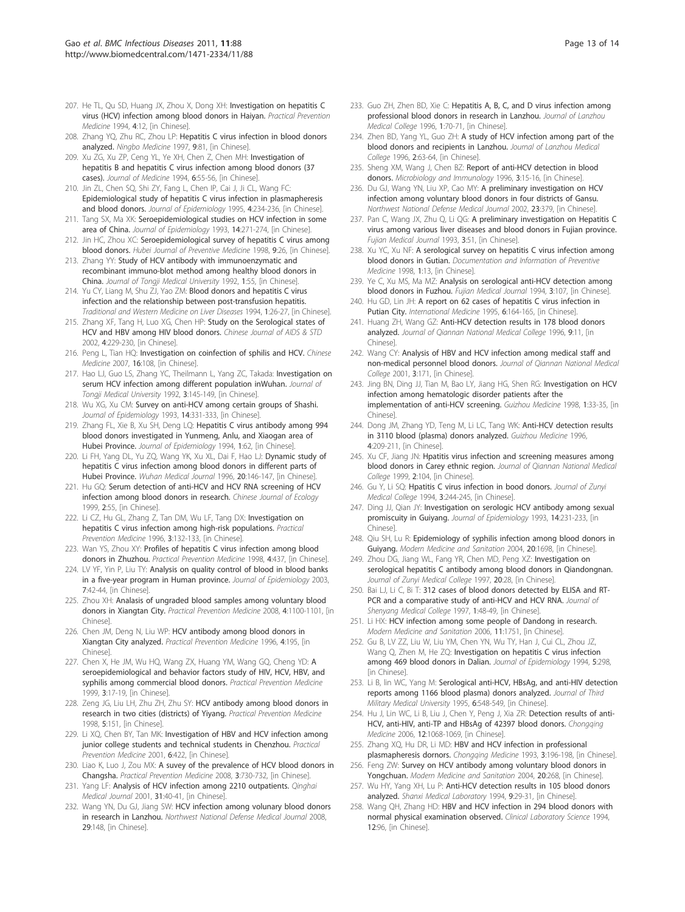- 207. He TL, Ou SD, Huang JX, Zhou X, Dong XH: Investigation on hepatitis C virus (HCV) infection among blood donors in Haiyan. Practical Prevention Medicine 1994, 4:12, [in Chinese].
- 208. Zhang YQ, Zhu RC, Zhou LP: Hepatitis C virus infection in blood donors analyzed. Ningbo Medicine 1997, 9:81, [in Chinese].
- 209. Xu ZG, Xu ZP, Ceng YL, Ye XH, Chen Z, Chen MH: Investigation of hepatitis B and hepatitis C virus infection among blood donors (37 cases). Journal of Medicine 1994, 6:55-56, [in Chinese].
- 210. Jin ZL, Chen SQ, Shi ZY, Fang L, Chen IP, Cai J, Ji CL, Wang FC: Epidemiological study of hepatitis C virus infection in plasmapheresis and blood donors. Journal of Epidemiology 1995, 4:234-236, [in Chinese].
- 211. Tang SX, Ma XK: Seroepidemiological studies on HCV infection in some area of China. Journal of Epidemiology 1993, 14:271-274, [in Chinese].
- 212. Jin HC, Zhou XC: Seroepidemiological survey of hepatitis C virus among blood donors. Hubei Journal of Preventive Medicine 1998, 9:26, [in Chinese].
- 213. Zhang YY: Study of HCV antibody with immunoenzymatic and recombinant immuno-blot method among healthy blood donors in China. Journal of Tongji Medical University 1992, 1:55, [in Chinese].
- 214. Yu CY, Liang M, Shu ZJ, Yao ZM: Blood donors and hepatitis C virus infection and the relationship between post-transfusion hepatitis. Traditional and Western Medicine on Liver Diseases 1994, 1:26-27, [in Chinese].
- 215. Zhang XF, Tang H, Luo XG, Chen HP: Study on the Serological states of HCV and HBV among HIV blood donors. Chinese Journal of AIDS & STD 2002, 4:229-230, [in Chinese].
- 216. Peng L, Tian HO: Investigation on coinfection of sphilis and HCV. Chinese Medicine 2007, 16:108, [in Chinese].
- 217. Hao LJ, Guo LS, Zhang YC, Theilmann L, Yang ZC, Takada: Investigation on serum HCV infection among different population inWuhan. Journal of Tongji Medical University 1992, 3:145-149, [in Chinese].
- 218. Wu XG, Xu CM: Survey on anti-HCV among certain groups of Shashi. Journal of Epidemiology 1993, 14:331-333, [in Chinese].
- 219. Zhang FL, Xie B, Xu SH, Deng LQ: Hepatitis C virus antibody among 994 blood donors investigated in Yunmeng, Anlu, and Xiaogan area of Hubei Province. Journal of Epidemiology 1994, 1:62, [in Chinese]
- 220. Li FH, Yang DL, Yu ZQ, Wang YK, Xu XL, Dai F, Hao LJ: Dynamic study of hepatitis C virus infection among blood donors in different parts of Hubei Province. Wuhan Medical Journal 1996, 20:146-147, [in Chinese].
- 221. Hu GQ: Serum detection of anti-HCV and HCV RNA screening of HCV infection among blood donors in research. Chinese Journal of Ecology 1999, 2:55, [in Chinese].
- 222. Li CZ, Hu GL, Zhang Z, Tan DM, Wu LF, Tang DX: Investigation on hepatitis C virus infection among high-risk populations. Practical Prevention Medicine 1996, 3:132-133, lin Chinesel.
- 223. Wan YS, Zhou XY: Profiles of hepatitis C virus infection among blood donors in Zhuzhou. Practical Prevention Medicine 1998, 4:437, [in Chinese].
- 224. LV YF, Yin P, Liu TY: Analysis on quality control of blood in blood banks in a five-year program in Human province. Journal of Epidemiology 2003, 7:42-44, [in Chinese].
- 225. Zhou XH: Analasis of ungraded blood samples among voluntary blood donors in Xiangtan City. Practical Prevention Medicine 2008, 4:1100-1101, [in Chinese].
- 226. Chen JM, Deng N, Liu WP: HCV antibody among blood donors in Xiangtan City analyzed. Practical Prevention Medicine 1996, 4:195, [in Chinese].
- 227. Chen X, He JM, Wu HQ, Wang ZX, Huang YM, Wang GQ, Cheng YD: A seroepidemiological and behavior factors study of HIV, HCV, HBV, and syphilis among commercial blood donors. Practical Prevention Medicine 1999, 3:17-19, [in Chinese].
- 228. Zeng JG, Liu LH, Zhu ZH, Zhu SY: HCV antibody among blood donors in research in two cities (districts) of Yiyang. Practical Prevention Medicine 1998, 5:151, [in Chinese].
- 229. Li XQ, Chen BY, Tan MK: Investigation of HBV and HCV infection among junior college students and technical students in Chenzhou. Practical Prevention Medicine 2001, 6:422, [in Chinese].
- 230. Liao K, Luo J, Zou MX: A suvey of the prevalence of HCV blood donors in Changsha. Practical Prevention Medicine 2008, 3:730-732, [in Chinese].
- 231. Yang LF: Analysis of HCV infection among 2210 outpatients. Qinghai Medical Journal 2001, 31:40-41, [in Chinese].
- 232. Wang YN, Du GJ, Jiang SW: HCV infection among volunary blood donors in research in Lanzhou. Northwest National Defense Medical Journal 2008, 29:148, [in Chinese].
- 233. Guo ZH, Zhen BD, Xie C: Hepatitis A, B, C, and D virus infection among professional blood donors in research in Lanzhou. Journal of Lanzhou Medical College 1996, 1:70-71, [in Chinese].
- 234. Zhen BD, Yang YL, Guo ZH: A study of HCV infection among part of the blood donors and recipients in Lanzhou. Journal of Lanzhou Medical College 1996, 2:63-64, [in Chinese].
- 235. Sheng XM, Wang J, Chen BZ: Report of anti-HCV detection in blood donors. Microbiology and Immunology 1996, 3:15-16, [in Chinese].
- 236. Du GJ, Wang YN, Liu XP, Cao MY: A preliminary investigation on HCV infection among voluntary blood donors in four districts of Gansu. Northwest National Defense Medical Journal 2002, 23:379, [in Chinese].
- 237. Pan C, Wang JX, Zhu Q, Li QG: A preliminary investigation on Hepatitis C virus among various liver diseases and blood donors in Fujian province. Fujian Medical Journal 1993, 3:51, [in Chinese].
- 238. Xu YC, Xu NF: A serological survey on hepatitis C virus infection among blood donors in Gutian. Documentation and Information of Preventive Medicine 1998, 1:13, [in Chinese].
- 239. Ye C, Xu MS, Ma MZ: Analysis on serological anti-HCV detection among blood donors in Fuzhou. Fujian Medical Journal 1994, 3:107, [in Chinese].
- 240. Hu GD, Lin JH: A report on 62 cases of hepatitis C virus infection in Putian City. International Medicine 1995, 6:164-165, [in Chinese].
- 241. Huang ZH, Wang GZ: Anti-HCV detection results in 178 blood donors analyzed. Journal of Ojannan National Medical College 1996, 9:11, [in] Chinese].
- 242. Wang CY: Analysis of HBV and HCV infection among medical staff and non-medical personnel blood donors. Journal of Qiannan National Medical College 2001, 3:171, [in Chinese].
- 243. Jing BN, Ding JJ, Tian M, Bao LY, Jiang HG, Shen RG: Investigation on HCV infection among hematologic disorder patients after the implementation of anti-HCV screening. Guizhou Medicine 1998, 1:33-35, [in Chinese].
- 244. Dong JM, Zhang YD, Teng M, Li LC, Tang WK: Anti-HCV detection results in 3110 blood (plasma) donors analyzed. Guizhou Medicine 1996, 4:209-211, [in Chinese].
- 245. Xu CF, Jiang JN: Hpatitis virus infection and screening measures among blood donors in Carey ethnic region. Journal of Qiannan National Medical College 1999, 2:104, [in Chinese].
- 246. Gu Y, Li SQ: Hpatitis C virus infection in bood donors. Journal of Zunyi Medical College 1994, 3:244-245, [in Chinese].
- 247. Ding JJ, Qian JY: Investigation on serologic HCV antibody among sexual promiscuity in Guiyang. Journal of Epidemiology 1993, 14:231-233, [in Chinese].
- 248. Qiu SH, Lu R: Epidemiology of syphilis infection among blood donors in Guiyang. Modern Medicine and Sanitation 2004, 20:1698, [in Chinese].
- 249. Zhou DG, Jiang WL, Fang YR, Chen MD, Peng XZ: Investigation on serological hepatitis C antibody among blood donors in Qiandongnan. Journal of Zunyi Medical College 1997, 20:28, [in Chinese].
- 250. Bai LJ, Li C, Bi T: 312 cases of blood donors detected by ELISA and RT-PCR and a comparative study of anti-HCV and HCV RNA. Journal of Shenyang Medical College 1997, 1:48-49, [in Chinese].
- 251. Li HX: HCV infection among some people of Dandong in research. Modern Medicine and Sanitation 2006, 11:1751, [in Chinese].
- 252. Gu B, LV ZZ, Liu W, Liu YM, Chen YN, Wu TY, Han J, Cui CL, Zhou JZ, Wang Q, Zhen M, He ZQ: Investigation on hepatitis C virus infection among 469 blood donors in Dalian. Journal of Epidemiology 1994, 5:298, [in Chinese].
- 253. Li B, lin WC, Yang M: Serological anti-HCV, HBsAg, and anti-HIV detection reports among 1166 blood plasma) donors analyzed. Journal of Third Military Medical University 1995, 6:548-549, [in Chinese].
- 254. Hu J, Lin WC, Li B, Liu J, Chen Y, Peng J, Xia ZR: Detection results of anti-HCV, anti-HIV, anti-TP and HBsAg of 42397 blood donors. Chongqing Medicine 2006, 12:1068-1069, [in Chinese].
- 255. Zhang XQ, Hu DR, Li MD: HBV and HCV infection in professional plasmapheresis dornors. Chongqing Medicine 1993, 3:196-198, [in Chinese].
- 256. Feng ZW: Survey on HCV antibody among voluntary blood donors in Yongchuan. Modern Medicine and Sanitation 2004, 20:268, [in Chinese].
- 257. Wu HY, Yang XH, Lu P: Anti-HCV detection results in 105 blood donors analyzed. Shanxi Medical Laboratory 1994, 9:29-31, [in Chinese]
- 258. Wang QH, Zhang HD: HBV and HCV infection in 294 blood donors with normal physical examination observed. Clinical Laboratory Science 1994, 12:96, [in Chinese].